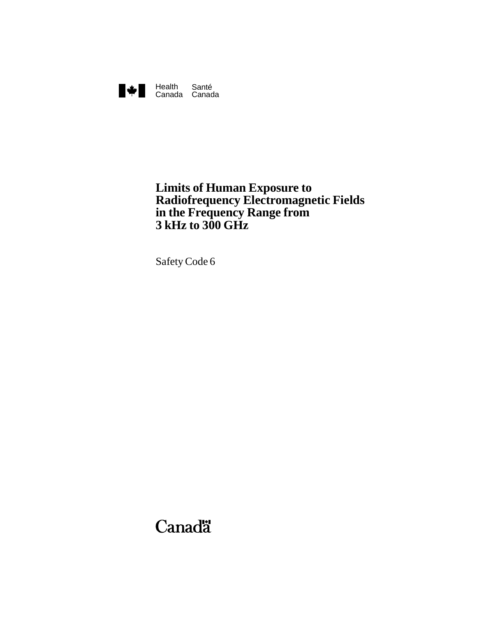

# **Limits of Human Exposure to Radiofrequency Electromagnetic Fields in the Frequency Range from 3 kHz to 300 GHz**

SafetyCode 6

# Canadä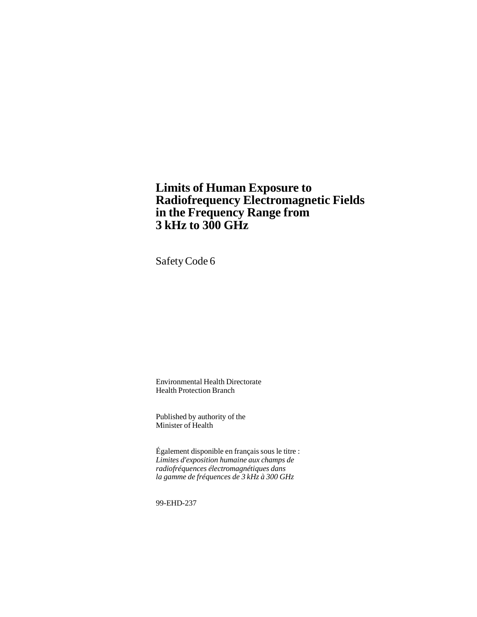# **Limits of Human Exposure to Radiofrequency Electromagnetic Fields in the Frequency Range from 3 kHz to 300 GHz**

SafetyCode 6

Environmental Health Directorate Health Protection Branch

Published by authority of the Minister of Health

Également disponible en français sous le titre : *Limites d'exposition humaine aux champs de radiofréquences électromagnétiques dans la gamme de fréquences de 3 kHz à 300 GHz*

99-EHD-237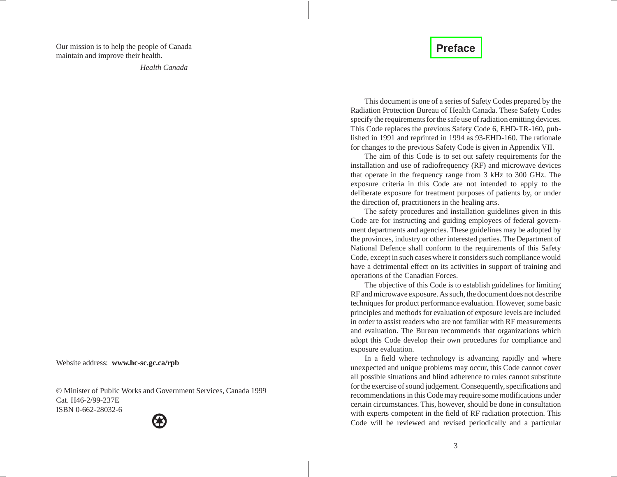# **[Preface](#page-4-0)**

<span id="page-2-0"></span>Our mission is to help the people of Canada maintain and improve their health.

*Health Canada*

This document is one of <sup>a</sup> series of Safety Codes prepared by the Radiation Protection Bureau of Health Canada. These Safety Codes specify the requirements for the safe use of radiation emitting devices. This Code replaces the previous Safety Code 6, EHD-TR-160, published in 1991 and reprinted in 1994 as 93-EHD-160. The rationale for changes to the previous Safety Code is given in Appendix VII.

The aim of this Code is to set out safety requirements for the installation and use of radiofrequency (RF) and microwave devices that operate in the frequency range from 3 kHz to 300 GHz. The exposure criteria in this Code are not intended to apply to the deliberate exposure for treatment purposes of patients by, or under the direction of, practitioners in the healing arts.

The safety procedures and installation guidelines given in this Code are for instructing and guiding employees of federal government departments and agencies. These guidelines may be adopted by the provinces, industry or other interested parties. The Department of National Defence shall conform to the requirements of this Safety Code, excep<sup>t</sup> in such cases where it considers such compliance would have <sup>a</sup> detrimental effect on its activities in suppor<sup>t</sup> of training and operations of the Canadian Forces.

The objective of this Code is to establish guidelines for limiting RF and microwave exposure. As such, the document does not describe techniques for product performance evaluation. However, some basic principles and methods for evaluation of exposure levels are included in order to assist readers who are not familiar with RF measurements and evaluation. The Bureau recommends that organizations which adopt this Code develop their own procedures for compliance and exposure evaluation.

In <sup>a</sup> field where technology is advancing rapidly and where unexpected and unique problems may occur, this Code cannot cover all possible situations and blind adherence to rules cannot substitute for the exercise of sound judgement. Consequently, specifications and recommendations in this Code may require some modifications under certain circumstances. This, however, should be done in consultation with experts competent in the field of RF radiation protection. This Code will be reviewed and revised periodically and <sup>a</sup> particular

Website address: **www.hc-sc.gc.ca/rpb**

© Minister of Public Works and Government Services, Canada 1999 Cat. H46-2/99-237EISBN 0-662-28032-6

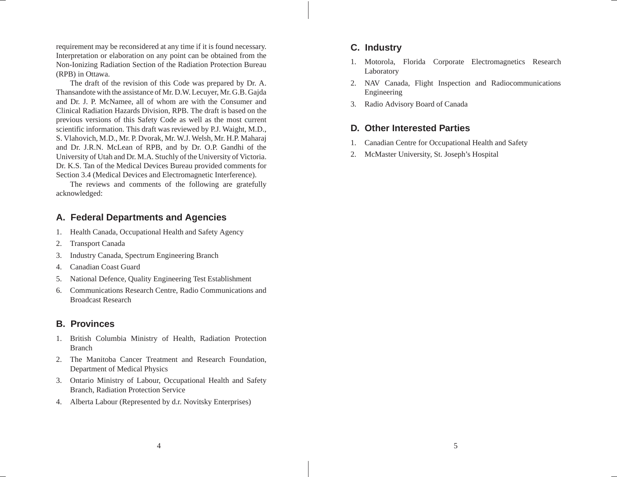requirement may be reconsidered at any time if it is found necessary. Interpretation or elaboration on any point can be obtained from the Non-Ionizing Radiation Section of the Radiation Protection Bureau (RPB) in Ottawa.

The draft of the revision of this Code was prepared by Dr. A. Thansandote with the assistance of Mr. D.W. Lecuyer, Mr. G.B. Gajda and Dr. J. P. McNamee, all of whom are with the Consumer and Clinical Radiation Hazards Division, RPB. The draft is based on the previous versions of this Safety Code as well as the most current scientific information. This draft was reviewed by P.J. Waight, M.D., S. Vlahovich, M.D., Mr. P. Dvorak, Mr. W.J. Welsh, Mr. H.P. Maharaj and Dr. J.R.N. McLean of RPB, and by Dr. O.P. Gandhi of the University of Utah and Dr. M.A. Stuchly of the University of Victoria. Dr. K.S. Tan of the Medical Devices Bureau provided comments for Section 3.4 (Medical Devices and Electromagnetic Interference).

The reviews and comments of the following are gratefully acknowledged:

## **A. Federal Departments and Agencies**

- 1. Health Canada, Occupational Health and Safety Agency
- 2. Transport Canada
- 3. Industry Canada, Spectrum Engineering Branch
- 4. Canadian Coast Guard
- 5. National Defence, Quality Engineering Test Establishment
- 6. Communications Research Centre, Radio Communications and Broadcast Research

### **B. Provinces**

- 1. British Columbia Ministry of Health, Radiation Protection Branch
- 2. The Manitoba Cancer Treatment and Research Foundation, Department of Medical Physics
- 3. Ontario Ministry of Labour, Occupational Health and Safety Branch, Radiation Protection Service
- 4. Alberta Labour (Represented by d.r. Novitsky Enterprises)

### **C. Industry**

- 1. Motorola, Florida Corporate Electromagnetics Research Laboratory
- 2. NAV Canada, Flight Inspection and Radiocommunications Engineering
- 3. Radio Advisory Board of Canada

### **D. Other Interested Parties**

- 1. Canadian Centre for Occupational Health and Safety
- 2. McMaster University, St. Joseph's Hospital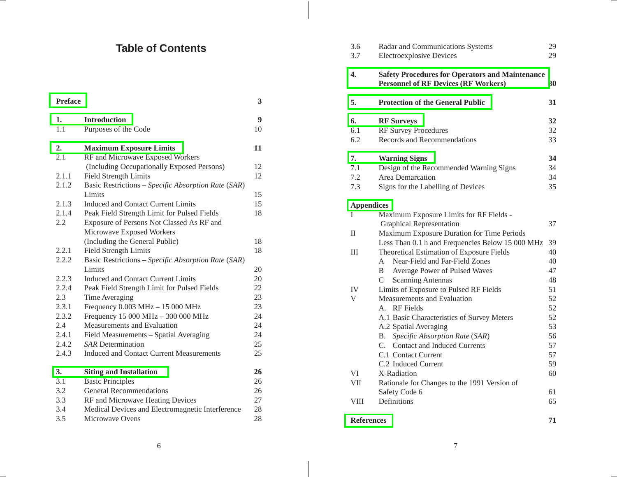# **Table of Contents**

<span id="page-4-0"></span>

| <b>Preface</b> |                                                     | 3  |
|----------------|-----------------------------------------------------|----|
| 1.             | <b>Introduction</b>                                 | 9  |
| 1.1            | Purposes of the Code                                | 10 |
| 2.             | <b>Maximum Exposure Limits</b>                      | 11 |
| 2.1            | RF and Microwave Exposed Workers                    |    |
|                | (Including Occupationally Exposed Persons)          | 12 |
| 2.1.1          | Field Strength Limits                               | 12 |
| 2.1.2          | Basic Restrictions - Specific Absorption Rate (SAR) |    |
|                | Limits                                              | 15 |
| 2.1.3          | Induced and Contact Current Limits                  | 15 |
| 2.1.4          | Peak Field Strength Limit for Pulsed Fields         | 18 |
| 2.2            | Exposure of Persons Not Classed As RF and           |    |
|                | Microwave Exposed Workers                           |    |
|                | (Including the General Public)                      | 18 |
| 2.2.1          | <b>Field Strength Limits</b>                        | 18 |
| 2.2.2          | Basic Restrictions - Specific Absorption Rate (SAR) |    |
|                | Limits                                              | 20 |
| 2.2.3          | Induced and Contact Current Limits                  | 20 |
| 2.2.4          | Peak Field Strength Limit for Pulsed Fields         | 22 |
| 2.3            | Time Averaging                                      | 23 |
| 2.3.1          | Frequency 0.003 MHz - 15 000 MHz                    | 23 |
| 2.3.2          | Frequency 15 000 MHz - 300 000 MHz                  | 24 |
| 2.4            | Measurements and Evaluation                         | 24 |
| 2.4.1          | Field Measurements - Spatial Averaging              | 24 |
| 2.4.2          | <b>SAR</b> Determination                            | 25 |
| 2.4.3          | <b>Induced and Contact Current Measurements</b>     | 25 |
| 3.             | <b>Siting and Installation</b>                      | 26 |
| 3.1            | <b>Basic Principles</b>                             | 26 |
| 3.2            | <b>General Recommendations</b>                      | 26 |
| 3.3            | RF and Microwave Heating Devices                    | 27 |
| 3.4            | Medical Devices and Electromagnetic Interference    | 28 |
| 3.5            | Microwave Ovens                                     | 28 |

| 3.6<br>3.7        | Radar and Communications Systems<br><b>Electroexplosive Devices</b>                                   | 29<br>29 |
|-------------------|-------------------------------------------------------------------------------------------------------|----------|
| 4.                | <b>Safety Procedures for Operators and Maintenance</b><br><b>Personnel of RF Devices (RF Workers)</b> | 30       |
| 5.                | <b>Protection of the General Public</b>                                                               | 31       |
| 6.                | <b>RF Surveys</b>                                                                                     | 32       |
| 6.1               | <b>RF Survey Procedures</b>                                                                           | 32       |
| 6.2               | Records and Recommendations                                                                           | 33       |
| 7.                | <b>Warning Signs</b>                                                                                  | 34       |
| 7.1               | Design of the Recommended Warning Signs                                                               | 34       |
| 7.2               | Area Demarcation                                                                                      | 34       |
| 7.3               | Signs for the Labelling of Devices                                                                    | 35       |
| <b>Appendices</b> |                                                                                                       |          |
| L                 | Maximum Exposure Limits for RF Fields -                                                               |          |
|                   | <b>Graphical Representation</b>                                                                       | 37       |
| П                 | Maximum Exposure Duration for Time Periods                                                            |          |
|                   | Less Than 0.1 h and Frequencies Below 15 000 MHz                                                      | 39       |
| Ш                 | Theoretical Estimation of Exposure Fields                                                             | 40       |
|                   | Near-Field and Far-Field Zones<br>A                                                                   | 40       |
|                   | B<br>Average Power of Pulsed Waves                                                                    | 47       |
|                   | C<br><b>Scanning Antennas</b>                                                                         | 48       |
| IV                | Limits of Exposure to Pulsed RF Fields                                                                | 51       |
| V                 | Measurements and Evaluation                                                                           | 52       |
|                   | <b>RF</b> Fields<br>$A_{\cdot}$                                                                       | 52       |
|                   | A.1 Basic Characteristics of Survey Meters                                                            | 52       |
|                   | A.2 Spatial Averaging                                                                                 | 53       |
|                   | Specific Absorption Rate (SAR)<br>B.                                                                  | 56       |
|                   | C. Contact and Induced Currents                                                                       | 57       |
|                   | C.1 Contact Current                                                                                   | 57       |
|                   | C.2 Induced Current                                                                                   | 59       |
| VI                | X-Radiation                                                                                           | 60       |
| <b>VII</b>        | Rationale for Changes to the 1991 Version of                                                          |          |
|                   | Safety Code 6                                                                                         | 61       |
| <b>VIII</b>       | Definitions                                                                                           | 65       |
| <b>References</b> |                                                                                                       | 71       |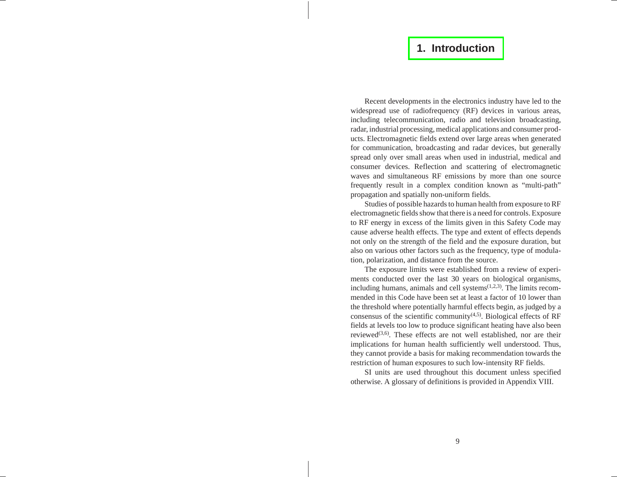# **1. [Introduction](#page-4-0)**

<span id="page-5-0"></span>Recent developments in the electronics industry have led to the widespread use of radiofrequency (RF) devices in various areas, including telecommunication, radio and television broadcasting, radar, industrial processing, medical applications and consumer products. Electromagnetic fields extend over large areas when generated for communication, broadcasting and radar devices, but generally spread only over small areas when used in industrial, medical and consumer devices. Reflection and scattering of electromagnetic waves and simultaneous RF emissions by more than one source frequently result in <sup>a</sup> complex condition known as "multi-path" propagation and spatially non-uniform fields.

Studies of possible hazards to human health from exposure to RF electromagnetic fields show that there is <sup>a</sup> need for controls. Exposure to RF energy in excess of the limits given in this Safety Code may cause adverse health effects. The type and extent of effects depends not only on the strength of the field and the exposure duration, but also on various other factors such as the frequency, type of modulation, polarization, and distance from the source.

The exposure limits were established from <sup>a</sup> review of experiments conducted over the last 30 years on biological organisms, including humans, animals and cell systems<sup>(1,2,3)</sup>. The limits recommended in this Code have been set at least <sup>a</sup> factor of 10 lower than the threshold where potentially harmful effects begin, as judged by <sup>a</sup> consensus of the scientific community<sup> $(4,5)$ </sup>. Biological effects of RF fields at levels too low to produce significant heating have also been reviewed<sup>(3,6)</sup>. These effects are not well established, nor are their implications for human health sufficiently well understood. Thus, they cannot provide <sup>a</sup> basis for making recommendation towards the restriction of human exposures to such low-intensity RF fields.

SI units are used throughout this document unless specified otherwise. A glossary of definitions is provided in Appendix VIII.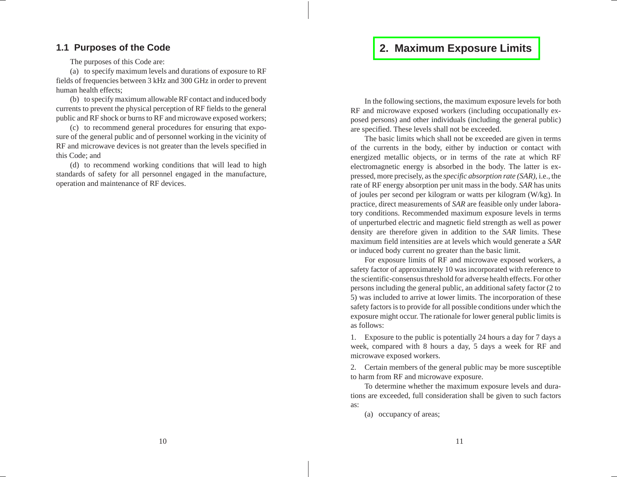# **2. Maximum [Exposure](#page-4-0) Limits**

# <span id="page-6-0"></span>**1.1 Purposes of the Code**

The purposes of this Code are:

(a) to specify maximum levels and durations of exposure to RF fields of frequencies between 3 kHz and 300 GHz in order to preven<sup>t</sup> human health effects;

(b) to specify maximum allowable RF contact and induced body currents to preven<sup>t</sup> the physical perception of RF fields to the general public and RF shock or burns to RF and microwave exposed workers;

(c) to recommend general procedures for ensuring that exposure of the general public and of personnel working in the vicinity of RF and microwave devices is not greater than the levels specified in this Code; and

(d) to recommend working conditions that will lead to high standards of safety for all personnel engaged in the manufacture, operation and maintenance of RF devices.

In the following sections, the maximum exposure levels for both RF and microwave exposed workers (including occupationally exposed persons) and other individuals (including the general public) are specified. These levels shall not be exceeded.

The basic limits which shall not be exceeded are given in terms of the currents in the body, either by induction or contact with energized metallic objects, or in terms of the rate at which RF electromagnetic energy is absorbed in the body. The latter is expressed, more precisely, as the *specific absorption rate (SAR)*, i.e., the rate of RF energy absorption per unit mass in the body. *SAR* has units of joules per second per kilogram or watts per kilogram (W/kg). In practice, direct measurements of *SAR* are feasible only under laboratory conditions. Recommended maximum exposure levels in terms of unperturbed electric and magnetic field strength as well as power density are therefore given in addition to the *SAR* limits. These maximum field intensities are at levels which would generate <sup>a</sup> *SAR* or induced body current no greater than the basic limit.

For exposure limits of RF and microwave exposed workers, <sup>a</sup> safety factor of approximately 10 was incorporated with reference to the scientific-consensus threshold for adverse health effects. For other persons including the general public, an additional safety factor (2 to 5) was included to arrive at lower limits. The incorporation of these safety factors is to provide for all possible conditions under which the exposure might occur. The rationale for lower general public limits is as follows:

1. Exposure to the public is potentially 24 hours <sup>a</sup> day for 7 days <sup>a</sup> week, compared with 8 hours <sup>a</sup> day, 5 days <sup>a</sup> week for RF and microwave exposed workers.

2. Certain members of the general public may be more susceptible to harm from RF and microwave exposure.

To determine whether the maximum exposure levels and durations are exceeded, full consideration shall be given to such factors as:

(a) occupancy of areas;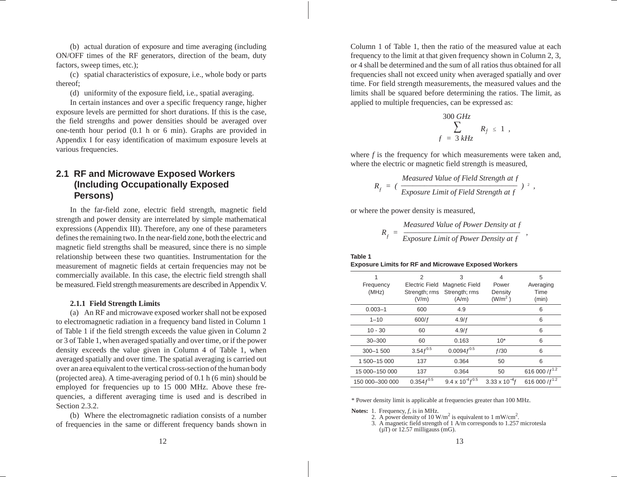(b) actual duration of exposure and time averaging (including ON/OFF times of the RF generators, direction of the beam, duty factors, sweep times, etc.);

(c) spatial characteristics of exposure, i.e., whole body or parts thereof;

(d) uniformity of the exposure field, i.e., spatial averaging.

In certain instances and over <sup>a</sup> specific frequency range, higher exposure levels are permitted for short durations. If this is the case, the field strengths and power densities should be averaged over one-tenth hour period (0.1 h or 6 min). Graphs are provided in Appendix I for easy identification of maximum exposure levels at various frequencies.

# **2.1 RF and Microwave Exposed Workers (Including Occupationally Exposed Persons)**

In the far-field zone, electric field strength, magnetic field strength and power density are interrelated by simple mathematical expressions (Appendix III). Therefore, any one of these parameters defines the remaining two. In the near-field zone, both the electric and magnetic field strengths shall be measured, since there is no simple relationship between these two quantities. Instrumentation for the measurement of magnetic fields at certain frequencies may not be commercially available. In this case, the electric field strength shall be measured. Field strength measurements are described in Appendix V.

### **2.1.1 Field Strength Limits**

(a) An RF and microwave exposed worker shall not be exposed to electromagnetic radiation in <sup>a</sup> frequency band listed in Column 1 of Table 1 if the field strength exceeds the value given in Column 2 or 3 of Table 1, when averaged spatially and over time, or if the power density exceeds the value given in Column 4 of Table 1, when averaged spatially and over time. The spatial averaging is carried out over an area equivalent to the vertical cross-section of the human body (projected area). A time-averaging period of 0.1 h (6 min) should be employed for frequencies up to 15 000 MHz. Above these frequencies, <sup>a</sup> different averaging time is used and is described in Section 2.3.2.

(b) Where the electromagnetic radiation consists of <sup>a</sup> number of frequencies in the same or different frequency bands shown in

Column 1 of Table 1, then the ratio of the measured value at each frequency to the limit at that given frequency shown in Column 2, 3, or 4 shall be determined and the sum of all ratios thus obtained for all frequencies shall not exceed unity when averaged spatially and over time. For field strength measurements, the measured values and the limits shall be squared before determining the ratios. The limit, as applied to multiple frequencies, can be expressed as:

$$
\frac{300 \text{ GHz}}{f = 3 \text{ kHz}} R_f \le 1,
$$

where *f* is the frequency for which measurements were taken and, where the electric or magnetic field strength is measured,

$$
R_f = (\frac{Measured \text{ Value of Field Strength at } f}{\text{Exposure Limit of Field Strength at } f})^{-2},
$$

or where the power density is measured,

$$
R_f = \frac{Measured Value of Power Density at f}{Expasure Limit of Power Density at f}
$$

**Table 1Exposure Limits for RF and Microwave Exposed Workers**

| Frequency<br>(MHz) | 2<br><b>Electric Field</b><br>Strength; rms<br>(V/m) | 3<br><b>Magnetic Field</b><br>Strength; rms<br>(A/m) | 4<br>Power<br>Density<br>(W/m <sup>2</sup> ) | 5<br>Averaging<br>Time<br>(min) |
|--------------------|------------------------------------------------------|------------------------------------------------------|----------------------------------------------|---------------------------------|
| $0.003 - 1$        | 600                                                  | 4.9                                                  |                                              | 6                               |
| $1 - 10$           | 600/f                                                | 4.9/f                                                |                                              | 6                               |
| $10 - 30$          | 60                                                   | 4.9/f                                                |                                              | 6                               |
| $30 - 300$         | 60                                                   | 0.163                                                | $10*$                                        | 6                               |
| $300 - 1500$       | $3.54 f^{0.5}$                                       | $0.0094 f^{0.5}$                                     | f/30                                         | 6                               |
| 1500-15000         | 137                                                  | 0.364                                                | 50                                           | 6                               |
| 15 000-150 000     | 137                                                  | 0.364                                                | 50                                           | 616 000 / $f^{1.2}$             |
| 150 000-300 000    | $0.354 f^{0.5}$                                      | $9.4 \times 10^{-4} f^{0.5}$                         | $3.33 \times 10^{-4}$ f                      | 616 000 / $f^{1.2}$             |

\* Power density limit is applicable at frequencies greater than 100 MHz.

**Notes:** 1. Frequency, *f*, is in MHz.

2. A power density of 10 W/m<sup>2</sup> is equivalent to 1 mW/cm<sup>2</sup>.

3. A magnetic field strength of 1 A/m corresponds to 1.257 microtesla  $(\mu T)$  or 12.57 milligauss (mG).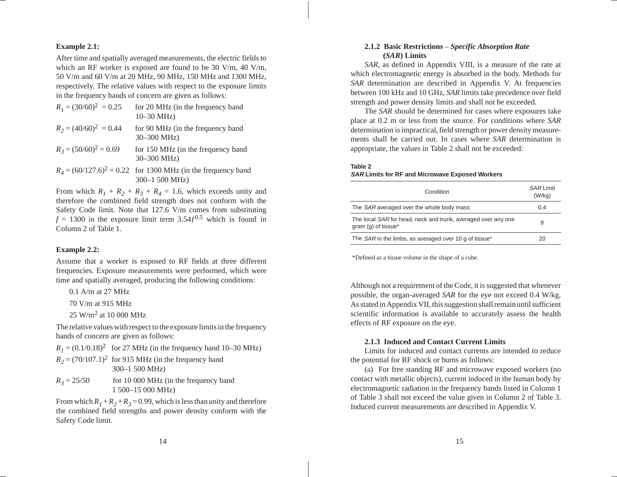### **Example 2.1:**

After time and spatially averaged measurements, the electric fields to which an RF worker is exposed are found to be 30 V/m, 40 V/m, 50 V/m and 60 V/m at 20 MHz, 90 MHz, 150 MHz and 1300 MHz, respectively. The relative values with respec<sup>t</sup> to the exposure limits in the frequency bands of concern are given as follows:

| $R_1 = (30/60)^2 = 0.25$ | for 20 MHz (in the frequency band<br>$10 - 30$ MHz)                               |
|--------------------------|-----------------------------------------------------------------------------------|
| $R_2 = (40/60)^2 = 0.44$ | for 90 MHz (in the frequency band)<br>$30 - 300$ MHz)                             |
| $R_3 = (50/60)^2 = 0.69$ | for 150 MHz (in the frequency band<br>$30 - 300$ MHz)                             |
|                          | $R_4 = (60/127.6)^2 = 0.22$ for 1300 MHz (in the frequency band<br>300-1 500 MHz) |

From which  $R_1 + R_2 + R_3 + R_4 = 1.6$ , which exceeds unity and therefore the combined field strength does not conform with the Safety Code limit. Note that 127.6 V/m comes from substituting  $f = 1300$  in the exposure limit term  $3.54f^{0.5}$  which is found in Column 2 of Table 1.

#### **Example 2.2:**

Assume that <sup>a</sup> worker is exposed to RF fields at three different frequencies. Exposure measurements were performed, which were time and spatially averaged, producing the following conditions:

0.1 A/m at 27 MHz

70 V/m at 915 MHz

25 W/m<sup>2</sup> at 10 000 MHz

The relative values with respec<sup>t</sup> to the exposure limits in the frequency bands of concern are given as follows:

 $R_1 = (0.1/0.18)^2$  for 27 MHz (in the frequency band 10–30 MHz)

 $R_2$  = (70/107.1)<sup>2</sup> for 915 MHz (in the frequency band 300–1 500 MHz)

 $R_3 = 25/50$ for 10 000 MHz (in the frequency band 1 500–15 000 MHz)

From which  $R_I$  +  $R_2$  +  $R_3$  = 0.99, which is less than unity and therefore the combined field strengths and power density conform with the Safety Code limit.

### **2.1.2 Basic Restrictions** – *Specific Absorption Rate* **(***SAR***) Limits**

*SAR*, as defined in Appendix VIII, is <sup>a</sup> measure of the rate at which electromagnetic energy is absorbed in the body. Methods for *SAR* determination are described in Appendix V. At frequencies between 100 kHz and 10 GHz, *SAR* limits take precedence over field strength and power density limits and shall not be exceeded.

The *SAR* should be determined for cases where exposures take place at 0.2 <sup>m</sup> or less from the source. For conditions where *SAR* determination is impractical, field strength or power density measurements shall be carried out. In cases where *SAR* determination is appropriate, the values in Table 2 shall not be exceeded:

#### **Table 2**

### **SAR Limits for RF and Microwave Exposed Workers**

| Condition                                                                            | <b>SAR Limit</b><br>(W/kg) |
|--------------------------------------------------------------------------------------|----------------------------|
| The SAR averaged over the whole body mass                                            | 0.4                        |
| The local SAR for head, neck and trunk, averaged over any one<br>gram (g) of tissue* | 8                          |
| The <i>SAR</i> in the limbs, as averaged over 10 g of tissue*                        | 20                         |

\*Defined as <sup>a</sup> tissue volume in the shape of <sup>a</sup> cube.

Although not <sup>a</sup> requirement of the Code, it is suggested that whenever possible, the organ-averaged *SAR* for the eye not exceed 0.4 W/kg. As stated in Appendix VII, this suggestion shall remain until sufficient scientific information is available to accurately assess the health effects of RF exposure on the eye.

#### **2.1.3 Induced and Contact Current Limits**

Limits for induced and contact currents are intended to reduce the potential for RF shock or burns as follows:

(a) For free standing RF and microwave exposed workers (no contact with metallic objects), current induced in the human body by electromagnetic radiation in the frequency bands listed in Column 1 of Table 3 shall not exceed the value given in Column 2 of Table 3. Induced current measurements are described in Appendix V.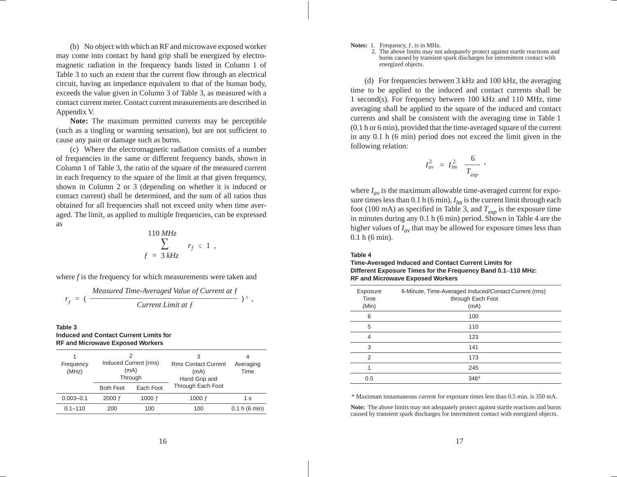(b) No object with which an RF and microwave exposed worker may come into contact by hand grip shall be energized by electromagnetic radiation in the frequency bands listed in Column 1 of Table 3 to such an extent that the current flow through an electrical circuit, having an impedance equivalent to that of the human body, exceeds the value given in Column 3 of Table 3, as measured with <sup>a</sup> contact current meter. Contact current measurements are described inAppendix V.

**Note:** The maximum permitted currents may be perceptible (such as <sup>a</sup> tingling or warming sensation), but are not sufficient to cause any pain or damage such as burns.

(c) Where the electromagnetic radiation consists of <sup>a</sup> number of frequencies in the same or different frequency bands, shown in Column 1 of Table 3, the ratio of the square of the measured current in each frequency to the square of the limit at that given frequency, shown in Column 2 or 3 (depending on whether it is induced or contact current) shall be determined, and the sum of all ratios thus obtained for all frequencies shall not exceed unity when time averaged. The limit, as applied to multiple frequencies, can be expressed as

$$
\sum_{f=3 \, kHz}^{110 \, MHz} r_f \leq 1 \, ,
$$

where *f* is the frequency for which measurements were taken and

$$
r_f = \left(\frac{Measured\ Time-Averaged\ Value\ of\ Current\ at\ f}{Current\ Limit\ at\ f}\right)^2,
$$

#### **Table 3Induced and Contact Current Limits forRF and Microwave Exposed Workers**

| 1<br>Frequency<br>(MHz) | Induced Current (rms)<br>(mA)<br>Through |           | 3<br><b>Rms Contact Current</b><br>(mA)<br>Hand Grip and | 4<br>Averaging<br>Time |
|-------------------------|------------------------------------------|-----------|----------------------------------------------------------|------------------------|
|                         | <b>Both Feet</b>                         | Each Foot | Through Each Foot                                        |                        |
| $0.003 - 0.1$           | 2000 f                                   | 1000 $f$  | 1000 $f$                                                 | 1 s                    |
| $0.1 - 110$             | 200                                      | 100       | 100                                                      | 0.1 h (6 min)          |

**Notes:** 1. Frequency, f, is in MHz.

2. The above limits may not adequately protect against startle reactions and burns caused by transient spark discharges for intermittent contact with energized objects.

(d) For frequencies between 3 kHz and 100 kHz, the averaging time to be applied to the induced and contact currents shall be 1 second(s). For frequency between 100 kHz and 110 MHz, time averaging shall be applied to the square of the induced and contact currents and shall be consistent with the averaging time in Table 1 (0.1 h or 6 min), provided that the time-averaged square of the current in any 0.1 h (6 min) period does not exceed the limit given in the following relation:

$$
I_{av}^2 = I_{lm}^2 \frac{6}{T_{exp}} ,
$$

where  $I_{av}$  is the maximum allowable time-averaged current for exposure times less than  $0.1$  h (6 min),  $I_{lm}$  is the current limit through each foot (100 mA) as specified in Table 3, and  $T_{exp}$  is the exposure time in minutes during any 0.1 h (6 min) period. Shown in Table 4 are the higher values of *Iav* that may be allowed for exposure times less than 0.1 h (6 min).

#### **Table 4**

#### **Time-Averaged Induced and Contact Current Limits for Different Exposure Times for the Frequency Band 0.1**–**110 MHz: RF and Microwave Exposed Workers**

| Exposure<br>Time<br>(Min) | 6-Minute, Time-Averaged Induced/Contact Current (rms)<br>through Each Foot<br>(mA) |
|---------------------------|------------------------------------------------------------------------------------|
| 6                         | 100                                                                                |
| 5                         | 110                                                                                |
| 4                         | 123                                                                                |
| 3                         | 141                                                                                |
| 2                         | 173                                                                                |
|                           | 245                                                                                |
| 0.5                       | $346*$                                                                             |

\* Maximum instantaneous current for exposure times less than 0.5 min. is 350 mA.

**Note:** The above limits may not adequately protect against startle reactions and burns caused by transient spark discharges for intermittent contact with energized objects.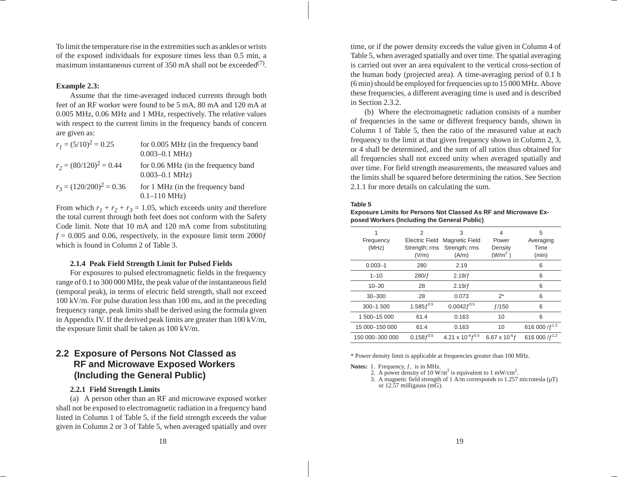To limit the temperature rise in the extremities such as ankles or wrists of the exposed individuals for exposure times less than 0.5 min, <sup>a</sup> maximum instantaneous current of 350 mA shall not be exceeded<sup>(7)</sup>.

### **Example 2.3:**

Assume that the time-averaged induced currents through both feet of an RF worker were found to be 5 mA, 80 mA and 120 mA at 0.005 MHz, 0.06 MHz and 1 MHz, respectively. The relative values with respec<sup>t</sup> to the current limits in the frequency bands of concern are given as:

| $r_1 = (5/10)^2 = 0.25$    | for 0.005 MHz (in the frequency band<br>$0.003 - 0.1$ MHz)  |
|----------------------------|-------------------------------------------------------------|
| $r_2 = (80/120)^2 = 0.44$  | for 0.06 MHz (in the frequency band<br>$0.003 - 0.1$ MHz)   |
| $r_3 = (120/200)^2 = 0.36$ | for 1 MHz (in the frequency band<br>$0.1 - 110 \text{ MHz}$ |

From which  $r_1 + r_2 + r_3 = 1.05$ , which exceeds unity and therefore the total current through both feet does not conform with the Safety Code limit. Note that 10 mA and 120 mA come from substituting  $f = 0.005$  and 0.06, respectively, in the exposure limit term 2000 $f$ which is found in Column 2 of Table 3.

### **2.1.4 Peak Field Strength Limit for Pulsed Fields**

For exposures to pulsed electromagnetic fields in the frequency range of 0.1 to 300 000 MHz, the peak value of the instantaneous field (temporal peak), in terms of electric field strength, shall not exceed 100 kV/m. For pulse duration less than 100 ms, and in the preceding frequency range, peak limits shall be derived using the formula given in Appendix IV. If the derived peak limits are greater than  $100 \text{ kV/m}$ , the exposure limit shall be taken as 100 kV/m.

# **2.2 Exposure of Persons Not Classed as RF and Microwave Exposed Workers (Including the General Public)**

### **2.2.1 Field Strength Limits**

(a) A person other than an RF and microwave exposed worker shall not be exposed to electromagnetic radiation in <sup>a</sup> frequency band listed in Column 1 of Table 5, if the field strength exceeds the value given in Column 2 or 3 of Table 5, when averaged spatially and over

time, or if the power density exceeds the value given in Column 4 of Table 5, when averaged spatially and over time. The spatial averaging is carried out over an area equivalent to the vertical cross-section of the human body (projected area). A time-averaging period of 0.1 h (6 min) should be employed for frequencies up to 15 000 MHz. Above these frequencies, <sup>a</sup> different averaging time is used and is described in Section 2.3.2.

(b) Where the electromagnetic radiation consists of <sup>a</sup> number of frequencies in the same or different frequency bands, shown in Column 1 of Table 5, then the ratio of the measured value at each frequency to the limit at that given frequency shown in Column 2, 3, or 4 shall be determined, and the sum of all ratios thus obtained for all frequencies shall not exceed unity when averaged spatially and over time. For field strength measurements, the measured values and the limits shall be squared before determining the ratios. See Section 2.1.1 for more details on calculating the sum.

#### **Table 5**

### **Exposure Limits for Persons Not Classed As RF and Microwave Exposed Workers (Including the General Public)**

| 1<br>Frequency<br>(MHz) | 2<br><b>Electric Field</b><br>Strength; rms<br>(V/m) | 3<br><b>Magnetic Field</b><br>Strength; rms<br>(A/m) | 4<br>Power<br>Density<br>(W/m <sup>2</sup> ) | 5<br>Averaging<br>Time<br>(min) |
|-------------------------|------------------------------------------------------|------------------------------------------------------|----------------------------------------------|---------------------------------|
| $0.003 - 1$             | 280                                                  | 2.19                                                 |                                              | 6                               |
| $1 - 10$                | 280/f                                                | 2.19/f                                               |                                              | 6                               |
| $10 - 30$               | 28                                                   | 2.19/f                                               |                                              | 6                               |
| $30 - 300$              | 28                                                   | 0.073                                                | $2^*$                                        | 6                               |
| 300-1500                | $1.585 f^{0.5}$                                      | $0.0042 f^{0.5}$                                     | f/150                                        | 6                               |
| 1 500-15 000            | 61.4                                                 | 0.163                                                | 10                                           | 6                               |
| 15 000-150 000          | 61.4                                                 | 0.163                                                | 10                                           | 616 000 $/f^{1.2}$              |
| 150 000-300 000         | $0.158 f^{0.5}$                                      | 4.21 x $10^{-4}f^{0.5}$                              | 6.67 x $10^{5}f$                             | 616 000 / $f^{1.2}$             |

\* Power density limit is applicable at frequencies greater than 100 MHz.

**Notes:** 1. Frequency, f, is in MHz.

2. A power density of 10 W/m<sup>2</sup> is equivalent to 1 mW/cm<sup>2</sup>.

3. A magnetic field strength of 1 A/m corresponds to 1.257 microtesla  $(\mu T)$ or 12.57 milligauss (mG).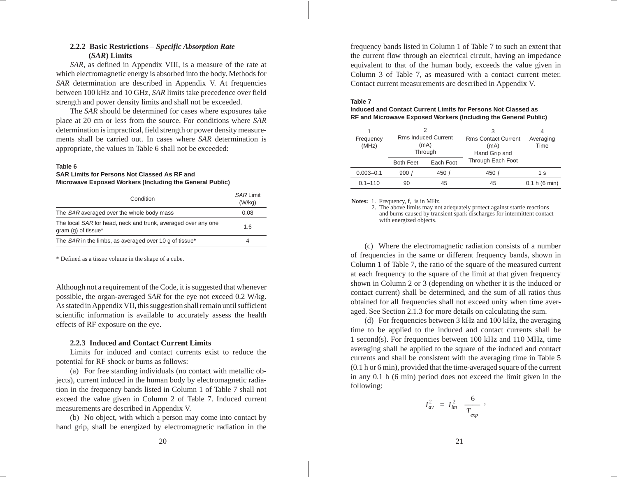### **2.2.2 Basic Restrictions** – *Specific Absorption Rate* **(***SAR***) Limits**

*SAR*, as defined in Appendix VIII, is <sup>a</sup> measure of the rate at which electromagnetic energy is absorbed into the body. Methods for *SAR* determination are described in Appendix V. At frequencies between 100 kHz and 10 GHz, *SAR* limits take precedence over field strength and power density limits and shall not be exceeded.

The *SAR* should be determined for cases where exposures take place at 20 cm or less from the source. For conditions where *SAR* determination is impractical, field strength or power density measurements shall be carried out. In cases where *SAR* determination is appropriate, the values in Table 6 shall not be exceeded:

#### **Table 6**

### **SAR Limits for Persons Not Classed As RF andMicrowave Exposed Workers (Including the General Public)**

| Condition                                                                            | <b>SAR Limit</b><br>(W/kg) |
|--------------------------------------------------------------------------------------|----------------------------|
| The <i>SAR</i> averaged over the whole body mass                                     | 0.08                       |
| The local SAR for head, neck and trunk, averaged over any one<br>gram (g) of tissue* | 1.6                        |
| The SAR in the limbs, as averaged over 10 g of tissue*                               | 4                          |

\* Defined as <sup>a</sup> tissue volume in the shape of <sup>a</sup> cube.

Although not <sup>a</sup> requirement of the Code, it is suggested that whenever possible, the organ-averaged *SAR* for the eye not exceed 0.2 W/kg. As stated in Appendix VII, this suggestion shall remain until sufficient scientific information is available to accurately assess the health effects of RF exposure on the eye.

### **2.2.3 Induced and Contact Current Limits**

Limits for induced and contact currents exist to reduce thepotential for RF shock or burns as follows:

(a) For free standing individuals (no contact with metallic objects), current induced in the human body by electromagnetic radiation in the frequency bands listed in Column 1 of Table 7 shall not exceed the value given in Column 2 of Table 7. Induced current measurements are described in Appendix V.

(b) No object, with which <sup>a</sup> person may come into contact by hand grip, shall be energized by electromagnetic radiation in the frequency bands listed in Column 1 of Table 7 to such an extent that the current flow through an electrical circuit, having an impedance equivalent to that of the human body, exceeds the value given in Column 3 of Table 7, as measured with <sup>a</sup> contact current meter. Contact current measurements are described in Appendix V.

#### **Table 7Induced and Contact Current Limits for Persons Not Classed as**

| יטואוס וועטוס ווערן וטו וטו ווערוויד אווירער ווער שווויט וויוט ווער שוווי<br>RF and Microwave Exposed Workers (Including the General Public) |  |
|----------------------------------------------------------------------------------------------------------------------------------------------|--|
|                                                                                                                                              |  |

| Frequency<br>(MHz) | <b>Rms Induced Current</b><br>(mA)<br>Through |           | 3<br><b>Rms Contact Current</b><br>(mA)<br>Hand Grip and | Averaging<br>Time |
|--------------------|-----------------------------------------------|-----------|----------------------------------------------------------|-------------------|
|                    | <b>Both Feet</b>                              | Each Foot | Through Each Foot                                        |                   |
| $0.003 - 0.1$      | 900 f                                         | 450 f     | 450 f                                                    | 1 s               |
| $0.1 - 110$        | 90                                            | 45        | 45                                                       | 0.1 h (6 min)     |

#### **Notes:** 1. Frequency, f, is in MHz.

2. The above limits may not adequately protect against startle reactions and burns caused by transient spark discharges for intermittent contact with energized objects.

(c) Where the electromagnetic radiation consists of <sup>a</sup> number of frequencies in the same or different frequency bands, shown in Column 1 of Table 7, the ratio of the square of the measured current at each frequency to the square of the limit at that given frequency shown in Column 2 or 3 (depending on whether it is the induced or contact current) shall be determined, and the sum of all ratios thus obtained for all frequencies shall not exceed unity when time averaged. See Section 2.1.3 for more details on calculating the sum.

(d) For frequencies between 3 kHz and 100 kHz, the averaging time to be applied to the induced and contact currents shall be 1 second(s). For frequencies between 100 kHz and 110 MHz, time averaging shall be applied to the square of the induced and contact currents and shall be consistent with the averaging time in Table 5 (0.1 h or 6 min), provided that the time-averaged square of the current in any 0.1 h (6 min) period does not exceed the limit given in the following:

$$
I_{av}^2 = I_{lm}^2 \frac{6}{T_{exp}} ,
$$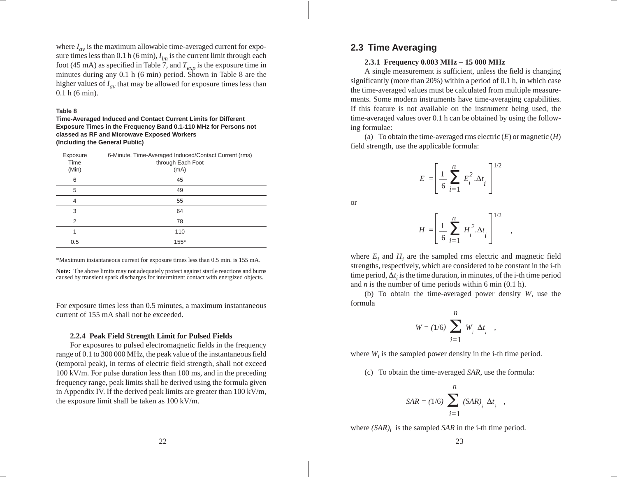where *Iav* is the maximum allowable time-averaged current for exposure times less than  $0.1$  h (6 min),  $I_{lm}$  is the current limit through each foot (45 mA) as specified in Table 7, and  $T_{exp}$  is the exposure time in minutes during any 0.1 h (6 min) period. Shown in Table 8 are the higher values of *Iav* that may be allowed for exposure times less than 0.1 h (6 min).

#### **Table 8**

**Time-Averaged Induced and Contact Current Limits for Different Exposure Times in the Frequency Band 0.1-110 MHz for Persons not classed as RF and Microwave Exposed Workers (Including the General Public)**

| Exposure<br>Time<br>(Min) | 6-Minute, Time-Averaged Induced/Contact Current (rms)<br>through Each Foot<br>(mA) |
|---------------------------|------------------------------------------------------------------------------------|
| 6                         | 45                                                                                 |
| 5                         | 49                                                                                 |
| 4                         | 55                                                                                 |
| 3                         | 64                                                                                 |
| 2                         | 78                                                                                 |
| 1                         | 110                                                                                |
| 0.5                       | $155*$                                                                             |

\*Maximum instantaneous current for exposure times less than 0.5 min. is 155 mA.

**Note:** The above limits may not adequately protect against startle reactions and burns caused by transient spark discharges for intermittent contact with energized objects.

For exposure times less than 0.5 minutes, a maximum instantaneous current of 155 mA shall not be exceeded.

#### **2.2.4 Peak Field Strength Limit for Pulsed Fields**

For exposures to pulsed electromagnetic fields in the frequency range of 0.1 to 300 000 MHz, the peak value of the instantaneous field (temporal peak), in terms of electric field strength, shall not exceed 100 kV/m. For pulse duration less than 100 ms, and in the preceding frequency range, peak limits shall be derived using the formula given in Appendix IV. If the derived peak limits are greater than 100 kV/m, the exposure limit shall be taken as 100 kV/m.

## **2.3 Time Averaging**

#### **2.3.1 Frequency 0.003 MHz** – **15 000 MHz**

A single measurement is sufficient, unless the field is changing significantly (more than 20%) within <sup>a</sup> period of 0.1 h, in which case the time-averaged values must be calculated from multiple measurements. Some modern instruments have time-averaging capabilities. If this feature is not available on the instrument being used, the time-averaged values over 0.1 h can be obtained by using the following formulae:

(a) To obtain the time-averaged rms electric ( *E*) or magnetic ( *H*) field strength, use the applicable formula:

$$
E = \left[\frac{1}{6} \sum_{i=1}^{n} E_i^2 \cdot \Delta t_i\right]^{1/2}
$$

or

$$
H = \left[\frac{1}{6} \sum_{i=1}^{n} H_i^2 \Delta t_i\right]^{1/2}
$$

,

where  $E_i$  and  $H_i$  are the sampled rms electric and magnetic field strengths, respectively, which are considered to be constant in the i-th time period,  $\Delta t_i$  is the time duration, in minutes, of the i-th time period and *n* is the number of time periods within 6 min (0.1 h).

(b) To obtain the time-averaged power density *W*, use the formula

$$
W = (1/6) \sum_{i=1}^{n} W_i \Delta t_i ,
$$

where  $W_i$  is the sampled power density in the i-th time period.

(c) To obtain the time-averaged *SAR*, use the formula:

$$
SAR = (1/6) \sum_{i=1}^{n} (SAR)_{i} \Delta t_{i} ,
$$

where *(SAR)<sub>i</sub>* is the sampled *SAR* in the i-th time period.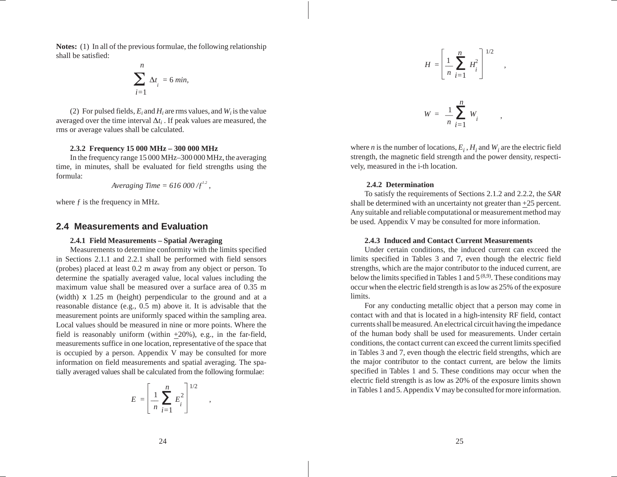**Notes:** (1) In all of the previous formulae, the following relationship shall be satisfied:

$$
\sum_{i=1}^{n} \Delta t_i = 6 \text{ min},
$$

(2) For pulsed fields,  $E_i$  and  $H_i$  are rms values, and  $W_i$  is the value averaged over the time interval  $\Delta t_i$ . If peak values are measured, the rms or average values shall be calculated.

### **2.3.2 Frequency 15 000 MHz – 300 000 MHz**

In the frequency range 15 000 MHz–300 000 MHz, the averaging time, in minutes, shall be evaluated for field strengths using the formula:

$$
Averageing Time = 616\,000/f^{1.2},
$$

where  $f$  is the frequency in MHz.

### **2.4 Measurements and Evaluation**

### **2.4.1 Field Measurements – Spatial Averaging**

Measurements to determine conformity with the limits specified in Sections 2.1.1 and 2.2.1 shall be performed with field sensors (probes) placed at least 0.2 <sup>m</sup> away from any object or person. To determine the spatially averaged value, local values including the maximum value shall be measured over <sup>a</sup> surface area of 0.35 <sup>m</sup>(width) <sup>x</sup> 1.25 <sup>m</sup> (height) perpendicular to the ground and at <sup>a</sup> reasonable distance (e.g., 0.5 m) above it. It is advisable that the measurement points are uniformly spaced within the sampling area. Local values should be measured in nine or more points. Where the field is reasonably uniform (within +20%), e.g., in the far-field, measurements suffice in one location, representative of the space that is occupied by <sup>a</sup> person. Appendix V may be consulted for more information on field measurements and spatial averaging. The spatially averaged values shall be calculated from the following formulae:

$$
E = \left[\frac{1}{n} \sum_{i=1}^{n} E_i^2\right]^{1/2}
$$

,

$$
H = \left[\frac{1}{n} \sum_{i=1}^{n} H_i^2\right]^{1/2} ,
$$

$$
W = \frac{1}{n} \sum_{i=1}^{n} W_i
$$

,

where *n* is the number of locations,  $E_i$ ,  $H_i$  and  $W_i$  are the electric field strength, the magnetic field strength and the power density, respectively, measured in the i-th location.

### **2.4.2 Determination**

To satisfy the requirements of Sections 2.1.2 and 2.2.2, the *SAR* shall be determined with an uncertainty not greater than +25 percent. Any suitable and reliable computational or measurement method may be used. Appendix V may be consulted for more information.

### **2.4.3 Induced and Contact Current Measurements**

Under certain conditions, the induced current can exceed the limits specified in Tables 3 and 7, even though the electric field strengths, which are the major contributor to the induced current, are below the limits specified in Tables 1 and  $5^{(8,9)}$ . These conditions may occur when the electric field strength is as low as 25% of the exposure limits.

For any conducting metallic object that <sup>a</sup> person may come in contact with and that is located in <sup>a</sup> high-intensity RF field, contact currents shall be measured. An electrical circuit having the impedance of the human body shall be used for measurements. Under certain conditions, the contact current can exceed the current limits specified in Tables 3 and 7, even though the electric field strengths, which are the major contributor to the contact current, are below the limits specified in Tables 1 and 5. These conditions may occur when the electric field strength is as low as 20% of the exposure limits shown in Tables 1 and 5. Appendix V may be consulted for more information.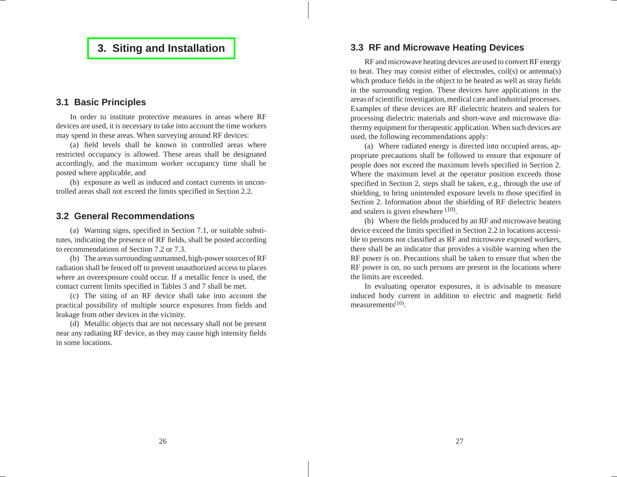# <span id="page-14-0"></span>**3. Siting and [Installation](#page-4-0)**

### **3.1 Basic Principles**

In order to institute protective measures in areas where RF devices are used, it is necessary to take into account the time workers may spend in these areas. When surveying around RF devices:

(a) field levels shall be known in controlled areas where restricted occupancy is allowed. These areas shall be designated accordingly, and the maximum worker occupancy time shall be posted where applicable, and

(b) exposure as well as induced and contact currents in uncontrolled areas shall not exceed the limits specified in Section 2.2.

### **3.2 General Recommendations**

(a) Warning signs, specified in Section 7.1, or suitable substitutes, indicating the presence of RF fields, shall be posted according to recommendations of Section 7.2 or 7.3.

(b) The areas surrounding unmanned, high-power sources of RF radiation shall be fenced off to preven<sup>t</sup> unauthorized access to places where an overexposure could occur. If <sup>a</sup> metallic fence is used, the contact current limits specified in Tables 3 and 7 shall be met.

(c) The siting of an RF device shall take into account the practical possibility of multiple source exposures from fields and leakage from other devices in the vicinity.

(d) Metallic objects that are not necessary shall not be presen<sup>t</sup> near any radiating RF device, as they may cause high intensity fields in some locations.

# **3.3 RF and Microwave Heating Devices**

RF and microwave heating devices are used to convert RF energy to heat. They may consist either of electrodes, coil(s) or antenna(s) which produce fields in the object to be heated as well as stray fields in the surrounding region. These devices have applications in the areas of scientific investigation, medical care and industrial processes. Examples of these devices are RF dielectric heaters and sealers for processing dielectric materials and short-wave and microwave diathermy equipment for therapeutic application. When such devices are used, the following recommendations apply:

(a) Where radiated energy is directed into occupied areas, appropriate precautions shall be followed to ensure that exposure of people does not exceed the maximum levels specified in Section 2. Where the maximum level at the operator position exceeds those specified in Section 2, steps shall be taken, e.g., through the use of shielding, to bring unintended exposure levels to those specified in Section 2. Information about the shielding of RF dielectric heaters and sealers is given elsewhere (10).

(b) Where the fields produced by an RF and microwave heating device exceed the limits specified in Section 2.2 in locations accessible to persons no<sup>t</sup> classified as RF and microwave exposed workers, there shall be an indicator that provides <sup>a</sup> visible warning when the RF power is on. Precautions shall be taken to ensure that when the RF power is on, no such persons are presen<sup>t</sup> in the locations where the limits are exceeded.

In evaluating operator exposures, it is advisable to measure induced body current in addition to electric and magnetic field measurements $(10)$ .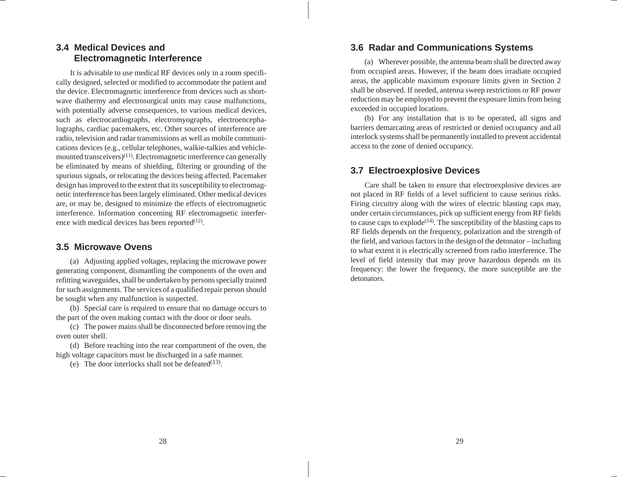# **3.4 Medical Devices andElectromagnetic Interference**

It is advisable to use medical RF devices only in <sup>a</sup> room specifically designed, selected or modified to accommodate the patient and the device. Electromagnetic interference from devices such as shortwave diathermy and electrosurgical units may cause malfunctions, with potentially adverse consequences, to various medical devices, such as electrocardiographs, electromyographs, electroencephalographs, cardiac pacemakers, etc. Other sources of interference are radio, television and radar transmissions as well as mobile communications devices (e.g., cellular telephones, walkie-talkies and vehiclemounted transceivers)<sup>(11)</sup>. Electromagnetic interference can generally be eliminated by means of shielding, filtering or grounding of the spurious signals, or relocating the devices being affected. Pacemaker design has improved to the extent that its susceptibility to electromagnetic interference has been largely eliminated. Other medical devices are, or may be, designed to minimize the effects of electromagnetic interference. Information concerning RF electromagnetic interference with medical devices has been reported $(12)$ .

## **3.5 Microwave Ovens**

(a) Adjusting applied voltages, replacing the microwave power generating component, dismantling the components of the oven and refitting waveguides, shall be undertaken by persons specially trained for such assignments. The services of <sup>a</sup> qualified repair person should be sought when any malfunction is suspected.

(b) Special care is required to ensure that no damage occurs to the part of the oven making contact with the door or door seals.

(c) The power mains shall be disconnected before removing the oven outer shell.

(d) Before reaching into the rear compartment of the oven, the high voltage capacitors must be discharged in a safe manner.

(e) The door interlocks shall not be defeated $(13)$ .

# **3.6 Radar and Communications Systems**

(a) Wherever possible, the antenna beam shall be directed away from occupied areas. However, if the beam does irradiate occupied areas, the applicable maximum exposure limits given in Section 2 shall be observed. If needed, antenna sweep restrictions or RF power reduction may be employed to preven<sup>t</sup> the exposure limits from being exceeded in occupied locations.

(b) For any installation that is to be operated, all signs and barriers demarcating areas of restricted or denied occupancy and all interlock systems shall be permanently installed to preven<sup>t</sup> accidental access to the zone of denied occupancy.

# **3.7 Electroexplosive Devices**

Care shall be taken to ensure that electroexplosive devices are not placed in RF fields of <sup>a</sup> level sufficient to cause serious risks. Firing circuitry along with the wires of electric blasting caps may, under certain circumstances, pick up sufficient energy from RF fields to cause caps to explode<sup> $(14)$ </sup>. The susceptibility of the blasting caps to RF fields depends on the frequency, polarization and the strength of the field, and various factors in the design of the detonator – including to what extent it is electrically screened from radio interference. The level of field intensity that may prove hazardous depends on its frequency: the lower the frequency, the more susceptible are the detonators.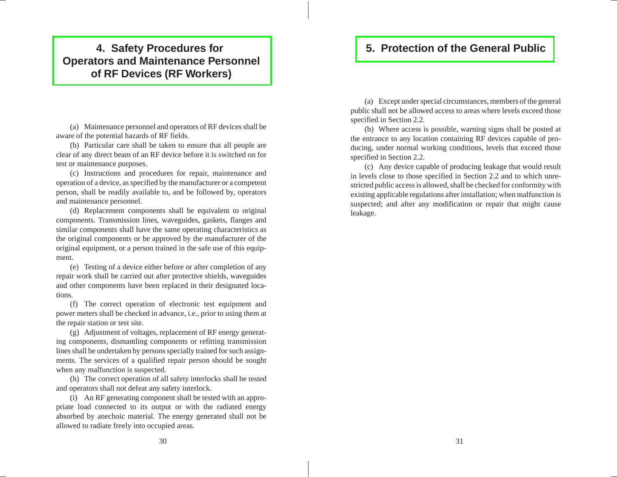# <span id="page-16-0"></span>**4. Safety Procedures for Operators and [Maintenance](#page-4-0) Personnel of RF Devices (RF Workers)**

(a) Maintenance personnel and operators of RF devices shall be aware of the potential hazards of RF fields.

(b) Particular care shall be taken to ensure that all people are clear of any direct beam of an RF device before it is switched on for test or maintenance purposes.

(c) Instructions and procedures for repair, maintenance and operation of <sup>a</sup> device, as specified by the manufacturer or <sup>a</sup> competent person, shall be readily available to, and be followed by, operators and maintenance personnel.

(d) Replacement components shall be equivalent to original components. Transmission lines, waveguides, gaskets, flanges and similar components shall have the same operating characteristics as the original components or be approved by the manufacturer of the original equipment, or <sup>a</sup> person trained in the safe use of this equipment.

(e) Testing of <sup>a</sup> device either before or after completion of any repair work shall be carried out after protective shields, waveguides and other components have been replaced in their designated locations.

(f) The correct operation of electronic test equipment and power meters shall be checked in advance, i.e., prior to using them at the repair station or test site.

(g) Adjustment of voltages, replacement of RF energy generating components, dismantling components or refitting transmission lines shall be undertaken by persons specially trained for such assignments. The services of <sup>a</sup> qualified repair person should be sought when any malfunction is suspected.

(h) The correct operation of all safety interlocks shall be tested and operators shall not defeat any safety interlock.

(i) An RF generating componen<sup>t</sup> shall be tested with an appropriate load connected to its output or with the radiated energy absorbed by anechoic material. The energy generated shall not be allowed to radiate freely into occupied areas.

# **5. [Protection](#page-4-0) of the General Public**

(a) Except under special circumstances, members of the general public shall not be allowed access to areas where levels exceed those specified in Section 2.2.

(b) Where access is possible, warning signs shall be posted at the entrance to any location containing RF devices capable of producing, under normal working conditions, levels that exceed those specified in Section 2.2.

(c) Any device capable of producing leakage that would result in levels close to those specified in Section 2.2 and to which unrestricted public access is allowed, shall be checked for conformity with existing applicable regulations after installation; when malfunction is suspected; and after any modification or repair that might cause leakage.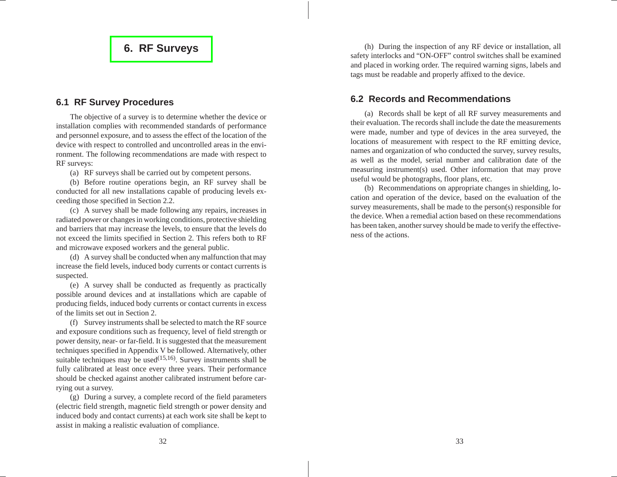# **6. RF [Surveys](#page-4-0)**

### <span id="page-17-0"></span>**6.1 RF Survey Procedures**

The objective of <sup>a</sup> survey is to determine whether the device or installation complies with recommended standards of performance and personnel exposure, and to assess the effect of the location of the device with respec<sup>t</sup> to controlled and uncontrolled areas in the environment. The following recommendations are made with respec<sup>t</sup> to RF surveys:

(a) RF surveys shall be carried out by competent persons.

(b) Before routine operations begin, an RF survey shall be conducted for all new installations capable of producing levels exceeding those specified in Section 2.2.

(c) A survey shall be made following any repairs, increases in radiated power or changes in working conditions, protective shielding and barriers that may increase the levels, to ensure that the levels do not exceed the limits specified in Section 2. This refers both to RF and microwave exposed workers and the general public.

(d) A survey shall be conducted when any malfunction that may increase the field levels, induced body currents or contact currents is suspected.

(e) A survey shall be conducted as frequently as practically possible around devices and at installations which are capable of producing fields, induced body currents or contact currents in excess of the limits set out in Section 2.

(f) Survey instruments shall be selected to match the RF source and exposure conditions such as frequency, level of field strength or power density, near- or far-field. It is suggested that the measurement techniques specified in Appendix V be followed. Alternatively, other suitable techniques may be used $(15,16)$ . Survey instruments shall be fully calibrated at least once every three years. Their performance should be checked against another calibrated instrument before carrying out a survey.

(g) During <sup>a</sup> survey, <sup>a</sup> complete record of the field parameters (electric field strength, magnetic field strength or power density and induced body and contact currents) at each work site shall be kept to assist in making a realistic evaluation of compliance.

(h) During the inspection of any RF device or installation, all safety interlocks and "ON-OFF" control switches shall be examined and placed in working order. The required warning signs, labels and tags must be readable and properly affixed to the device.

# **6.2 Records and Recommendations**

(a) Records shall be kept of all RF survey measurements and their evaluation. The records shall include the date the measurements were made, number and type of devices in the area surveyed, the locations of measurement with respec<sup>t</sup> to the RF emitting device, names and organization of who conducted the survey, survey results, as well as the model, serial number and calibration date of the measuring instrument(s) used. Other information that may prove useful would be photographs, floor plans, etc.

(b) Recommendations on appropriate changes in shielding, location and operation of the device, based on the evaluation of the survey measurements, shall be made to the person(s) responsible for the device. When <sup>a</sup> remedial action based on these recommendationshas been taken, another survey should be made to verify the effectiveness of the actions.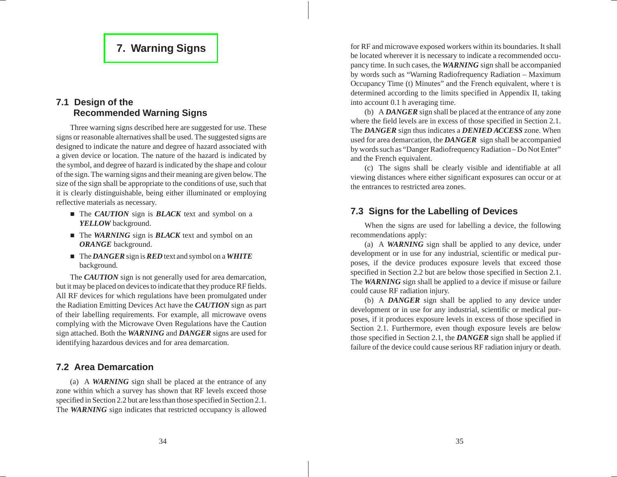# **7. [Warning](#page-4-0) Signs**

# <span id="page-18-0"></span>**7.1 Design of the Recommended Warning Signs**

Three warning signs described here are suggested for use. These signs or reasonable alternatives shall be used. The suggested signs are designed to indicate the nature and degree of hazard associated with <sup>a</sup> given device or location. The nature of the hazard is indicated by the symbol, and degree of hazard is indicated by the shape and colour of the sign. The warning signs and their meaning are given below. The size of the sign shall be appropriate to the conditions of use, such that it is clearly distinguishable, being either illuminated or employing reflective materials as necessary.

- The *CAUTION* sign is *BLACK* text and symbol on a *YELLOW* background.
- The *WARNING* sign is *BLACK* text and symbol on an *ORANGE* background.
- n The *DANGER* sign is*RED* text and symbol on <sup>a</sup> *WHITE* background.

The *CAUTION* sign is not generally used for area demarcation, but it may be placed on devices to indicate that they produce RF fields. All RF devices for which regulations have been promulgated under the Radiation Emitting Devices Act have the *CAUTION* sign as par<sup>t</sup> of their labelling requirements. For example, all microwave ovens complying with the Microwave Oven Regulations have the Caution sign attached. Both the *WARNING* and *DANGER* signs are used for identifying hazardous devices and for area demarcation.

### **7.2 Area Demarcation**

(a) A *WARNING* sign shall be placed at the entrance of any zone within which <sup>a</sup> survey has shown that RF levels exceed those specified in Section 2.2 but are less than those specified in Section 2.1. The *WARNING* sign indicates that restricted occupancy is allowed

for RF and microwave exposed workers within its boundaries. It shall be located wherever it is necessary to indicate <sup>a</sup> recommended occupancy time. In such cases, the *WARNING* sign shall be accompanied by words such as "Warning Radiofrequency Radiation – Maximum Occupancy Time (t) Minutes" and the French equivalent, where <sup>t</sup> is determined according to the limits specified in Appendix II, taking into account 0.1 h averaging time.

(b) A *DANGER* sign shall be placed at the entrance of any zone where the field levels are in excess of those specified in Section 2.1. The *DANGER* sign thus indicates <sup>a</sup> *DENIED ACCESS* zone. When used for area demarcation, the *DANGER* sign shall be accompanied by words such as "Danger Radiofrequency Radiation – Do Not Enter" and the French equivalent.

(c) The signs shall be clearly visible and identifiable at all viewing distances where either significant exposures can occur or at the entrances to restricted area zones.

# **7.3 Signs for the Labelling of Devices**

When the signs are used for labelling <sup>a</sup> device, the following recommendations apply:

(a) A *WARNING* sign shall be applied to any device, under development or in use for any industrial, scientific or medical purposes, if the device produces exposure levels that exceed those specified in Section 2.2 but are below those specified in Section 2.1. The *WARNING* sign shall be applied to a device if misuse or failure could cause RF radiation injury.

(b) A *DANGER* sign shall be applied to any device under development or in use for any industrial, scientific or medical purposes, if it produces exposure levels in excess of those specified in Section 2.1. Furthermore, even though exposure levels are below those specified in Section 2.1, the *DANGER* sign shall be applied if failure of the device could cause serious RF radiation injury or death.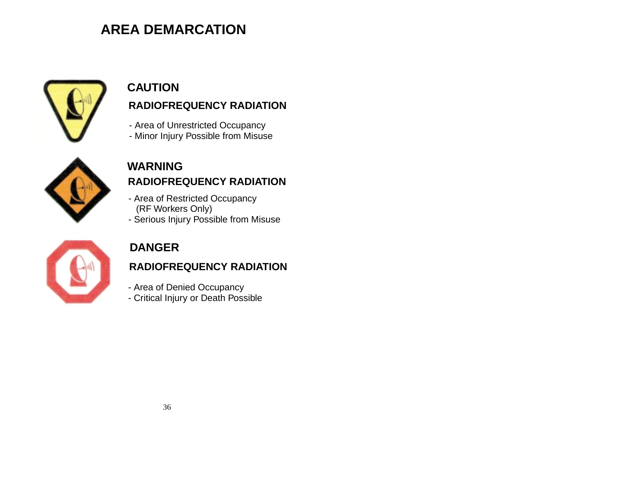# **AREA DEMARCATION**



# **RADIOFREQUENCY RADIATION CAUTION**

- Area of Unrestricted Occupancy
- Minor Injury Possible from Misuse



# **RADIOFREQUENCY RADIATIONWARNING**

- Area of Restricted Occupancy (RF Workers Only)
- Serious Injury Possible from Misuse



# **DANGER**

# **RADIOFREQUENCY RADIATION**

- Area of Denied Occupancy
- Critical Injury or Death Possible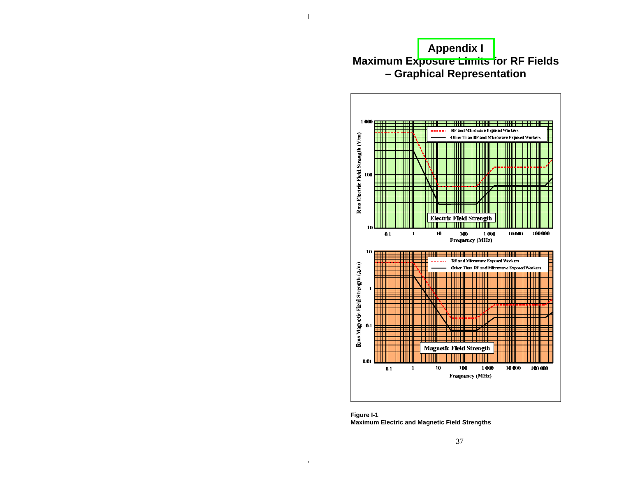# **[Appendix I](#page-4-0) Maximum Exposure Limits for RF Fields – Graphical Representation**

<span id="page-20-0"></span>

**Figure I-1 Maximum Electric and Magnetic Field Strengths**

 $\blacksquare$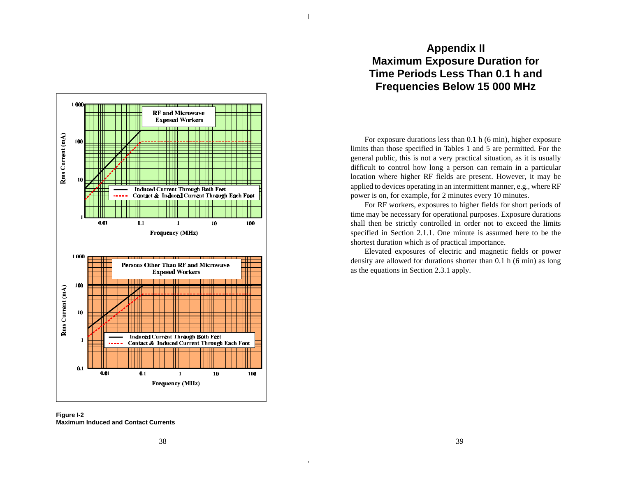

For exposure durations less than 0.1 h (6 min), higher exposure limits than those specified in Tables 1 and 5 are permitted. For the general public, this is not a very practical situation, as it is usually difficult to control how long a person can remain in a particular location where higher RF fields are present. However, it may be applied to devices operating in an intermittent manner, e.g., where RF power is on, for example, for 2 minutes every 10 minutes.

For RF workers, exposures to higher fields for short periods of time may be necessary for operational purposes. Exposure durations shall then be strictly controlled in order not to exceed the limits specified in Section 2.1.1. One minute is assumed here to be the shortest duration which is of practical importance.

Elevated exposures of electric and magnetic fields or power density are allowed for durations shorter than 0.1 h (6 min) as long as the equations in Section 2.3.1 apply.



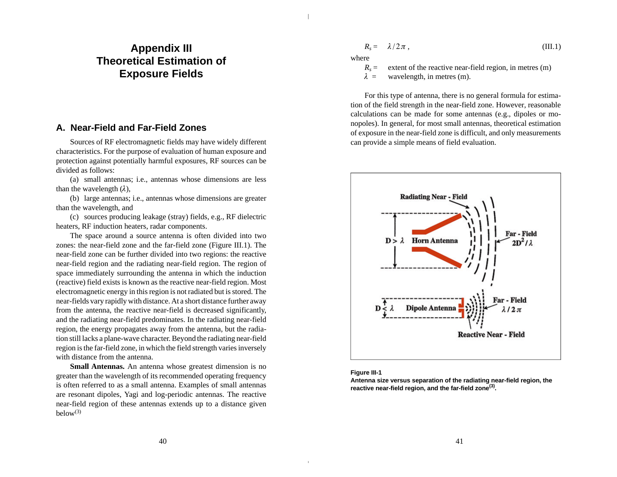# **Appendix III Theoretical Estimation of Exposure Fields**

### **A. Near-Field and Far-Field Zones**

Sources of RF electromagnetic fields may have widely different characteristics. For the purpose of evaluation of human exposure and protection against potentially harmful exposures, RF sources can be divided as follows:

(a) small antennas; i.e., antennas whose dimensions are less than the wavelength  $(\lambda)$ ,

(b) large antennas; i.e., antennas whose dimensions are greater than the wavelength, and

(c) sources producing leakage (stray) fields, e.g., RF dielectric heaters, RF induction heaters, radar components.

The space around a source antenna is often divided into two zones: the near-field zone and the far-field zone (Figure III.1). The near-field zone can be further divided into two regions: the reactive near-field region and the radiating near-field region. The region of space immediately surrounding the antenna in which the induction (reactive) field exists is known as the reactive near-field region. Most electromagnetic energy in this region is not radiated but is stored. The near-fields vary rapidly with distance. At a short distance further away from the antenna, the reactive near-field is decreased significantly, and the radiating near-field predominates. In the radiating near-field region, the energy propagates away from the antenna, but the radiation still lacks a plane-wave character. Beyond the radiating near-field region is the far-field zone, in which the field strength varies inversely with distance from the antenna.

**Small Antennas.** An antenna whose greatest dimension is no greater than the wavelength of its recommended operating frequency is often referred to as a small antenna. Examples of small antennas are resonant dipoles, Yagi and log-periodic antennas. The reactive near-field region of these antennas extends up to a distance given  $below<sup>(3)</sup>$ 

$$
R_s = \lambda/2\pi , \qquad \qquad (III.1)
$$

where

 $R<sub>s</sub> =$ extent of the reactive near-field region, in metres  $(m)$ 

 $\lambda$  = wavelength, in metres (m).

For this type of antenna, there is no general formula for estimation of the field strength in the near-field zone. However, reasonable calculations can be made for some antennas (e.g., dipoles or monopoles). In general, for most small antennas, theoretical estimation of exposure in the near-field zone is difficult, and only measurements can provide a simple means of field evaluation.





**Antenna size versus separation of the radiating near-field region, the reactive near-field region, and the far-field zone(3) .**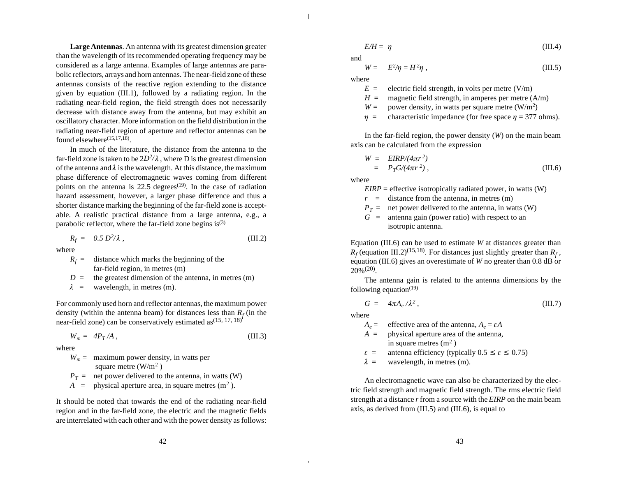**Large Antennas**. An antenna with its greatest dimension greater than the wavelength of its recommended operating frequency may be considered as a large antenna. Examples of large antennas are parabolic reflectors, arrays and horn antennas. The near-field zone of these antennas consists of the reactive region extending to the distance given by equation (III.1), followed by a radiating region. In the radiating near-field region, the field strength does not necessarily decrease with distance away from the antenna, but may exhibit an oscillatory character. More information on the field distribution in the radiating near-field region of aperture and reflector antennas can be found elsewhere<sup>(15,17,18)</sup>.

In much of the literature, the distance from the antenna to the far-field zone is taken to be  $2D^2/\lambda$  , where D is the greatest dimension of the antenna and  $\lambda$  is the wavelength. At this distance, the maximum phase difference of electromagnetic waves coming from different points on the antenna is 22.5 degrees<sup> $(19)$ </sup>. In the case of radiation hazard assessment, however, a larger phase difference and thus a shorter distance marking the beginning of the far-field zone is acceptable. A realistic practical distance from a large antenna, e.g., a parabolic reflector, where the far-field zone begins  $is^{(3)}$ 

$$
R_f = 0.5 D^2 / \lambda, \qquad \qquad (III.2)
$$

where

- $R_f =$ distance which marks the beginning of the far-field region, in metres (m)
- $D =$  the greatest dimension of the antenna, in metres (m)

 $\lambda$  = wavelength, in metres (m).

For commonly used horn and reflector antennas, the maximum power density (within the antenna beam) for distances less than  $R_f$  (in the near-field zone) can be conservatively estimated as  $(15, 17, 18)$ 

$$
W_m = 4P_T/A, \qquad \qquad (III.3)
$$

where

 $W_m$  = maximum power density, in watts per square metre (W/m<sup>2</sup>)

- $P_T$  = net power delivered to the antenna, in watts (W)
- $A =$  physical aperture area, in square metres  $(m^2)$ .

It should be noted that towards the end of the radiating near-field region and in the far-field zone, the electric and the magnetic fields are interrelated with each other and with the power density as follows:

$$
E/H = \eta \tag{III.4}
$$

and

$$
W = E^2/\eta = H^2 \eta \tag{III.5}
$$

where

- $E =$  electric field strength, in volts per metre (V/m)
- $H =$  magnetic field strength, in amperes per metre  $(A/m)$
- $W =$  power density, in watts per square metre (W/m<sup>2</sup>)
- $\eta$  = characteristic impedance (for free space  $\eta$  = 377 ohms).

In the far-field region, the power density (*W*) on the main beam axis can be calculated from the expression

$$
W = EIRP/(4\pi r^2)
$$
  
=  $P_T G/(4\pi r^2)$ , (III.6)

where

 $EIRP =$  effective isotropically radiated power, in watts (W)

 $r =$  distance from the antenna, in metres (m)

 $P_T$  = net power delivered to the antenna, in watts (W)

 $G =$  antenna gain (power ratio) with respect to an isotropic antenna.

Equation (III.6) can be used to estimate *W* at distances greater than  $R_f$  (equation III.2)<sup>(15,18)</sup>. For distances just slightly greater than  $R_f$ , equation (III.6) gives an overestimate of *W* no greater than 0.8 dB or  $20\%^{(20)}$ .

The antenna gain is related to the antenna dimensions by the following equation $(19)$ 

$$
G = 4\pi A_e / \lambda^2, \qquad \qquad (III.7)
$$

where

- $A_e =$  $=$  effective area of the antenna,  $A_e = \varepsilon A$
- *A* = physical aperture area of the antenna, in square metres  $(m<sup>2</sup>)$
- $\varepsilon$  = antenna efficiency (typically  $0.5 \le \varepsilon \le 0.75$ )
- $\lambda$  = wavelength, in metres (m).

An electromagnetic wave can also be characterized by the electric field strength and magnetic field strength. The rms electric field strength at a distance *r* from a source with the *EIRP* on the main beam axis, as derived from (III.5) and (III.6), is equal to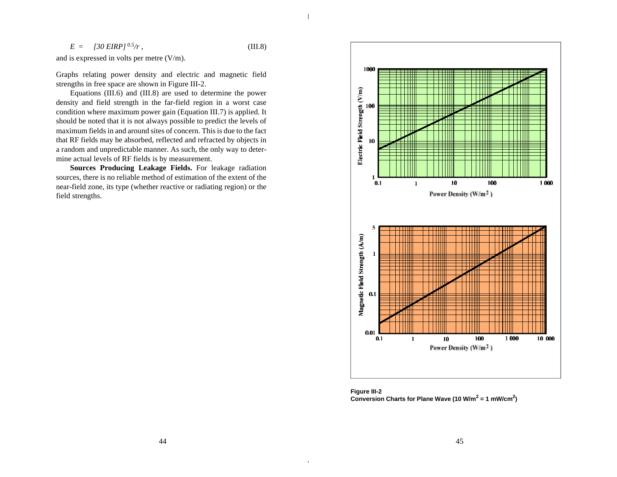$E = [30 \text{ EIRP}]^{0.5}/r$ , (III.8)

and is expressed in volts per metre (V/m).

Graphs relating power density and electric and magnetic field strengths in free space are shown in Figure III-2.

Equations (III.6) and (III.8) are used to determine the power density and field strength in the far-field region in a worst case condition where maximum power gain (Equation III.7) is applied. It should be noted that it is not always possible to predict the levels of maximum fields in and around sites of concern. This is due to the fact that RF fields may be absorbed, reflected and refracted by objects in a random and unpredictable manner. As such, the only way to determine actual levels of RF fields is by measurement.

**Sources Producing Leakage Fields.** For leakage radiation sources, there is no reliable method of estimation of the extent of the near-field zone, its type (whether reactive or radiating region) or the field strengths.



**Figure III-2 Conversion Charts for Plane Wave (10 W/m<sup>2</sup> = 1 mW/cm<sup>2</sup> )**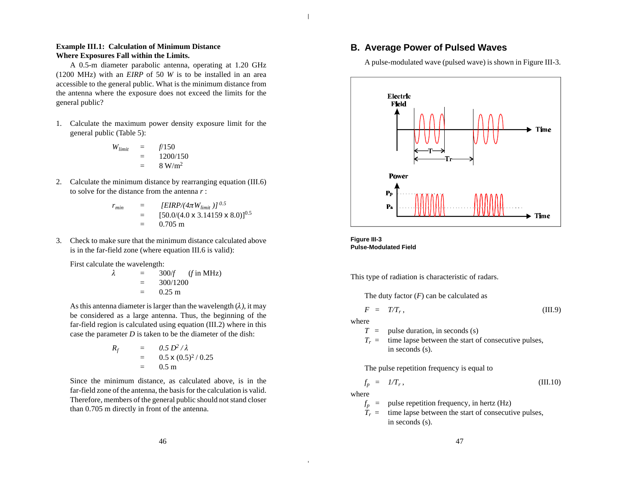### **Example III.1: Calculation of Minimum Distance Where Exposures Fall within the Limits.**

A 0.5-m diameter parabolic antenna, operating at 1.20 GHz (1200 MHz) with an *EIRP* of 50 *W* is to be installed in an area accessible to the general public. What is the minimum distance from the antenna where the exposure does not exceed the limits for the general public?

1. Calculate the maximum power density exposure limit for the general public (Table 5):

$$
W_{limit} = f/150
$$
  
= 1200/150  
= 8 W/m<sup>2</sup>

2. Calculate the minimum distance by rearranging equation (III.6) to solve for the distance from the antenna *r* :

$$
r_{min} = [EIRP/(4\pi W_{limit})]^{0.5}
$$
  
= [50.0/(4.0 x 3.14159 x 8.0)]<sup>0.5</sup>  
= 0.705 m

3. Check to make sure that the minimum distance calculated above is in the far-field zone (where equation III.6 is valid):

First calculate the wavelength:

$$
\lambda = 300/f \quad (f in MHz) \n= 300/1200 \n= 0.25 m
$$

As this antenna diameter is larger than the wavelength  $(\lambda)$ , it may be considered as a large antenna. Thus, the beginning of the far-field region is calculated using equation (III.2) where in this case the parameter *D* is taken to be the diameter of the dish:

$$
R_f = 0.5 D^2 / \lambda
$$
  
= 0.5 x (0.5)<sup>2</sup> / 0.25  
= 0.5 m

Since the minimum distance, as calculated above, is in the far-field zone of the antenna, the basis for the calculation is valid. Therefore, members of the general public should not stand closer than 0.705 m directly in front of the antenna.

## **B. Average Power of Pulsed Waves**

A pulse-modulated wave (pulsed wave) is shown in Figure III-3.





This type of radiation is characteristic of radars.

The duty factor  $(F)$  can be calculated as

$$
F = T/T_r, \tag{III.9}
$$

where

- *T* = pulse duration, in seconds (s)
- $T_r$  = time lapse between the start of consecutive pulses, in seconds (s).

The pulse repetition frequency is equal to

$$
f_p = I/T_r, \tag{III.10}
$$

where

- $f_p =$ pulse repetition frequency, in hertz (Hz)
- $T_r =$ time lapse between the start of consecutive pulses, in seconds (s).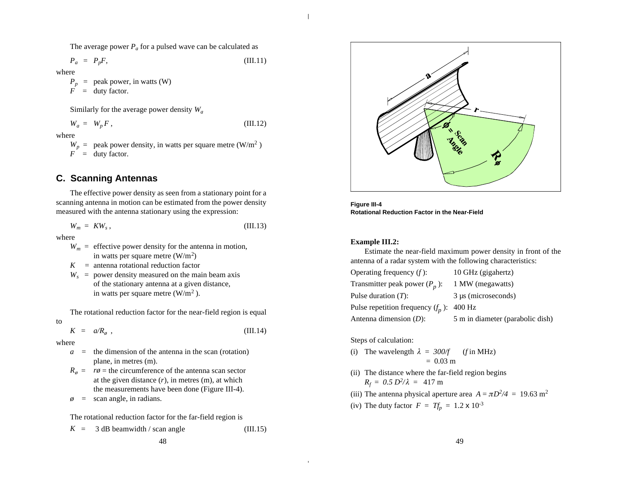The average power  $P_a$  for a pulsed wave can be calculated as

$$
P_a = P_p F, \tag{III.11}
$$

where

 $P_p$  = peak power, in watts (W)  $\overrightarrow{F}$  = duty factor.

Similarly for the average power density *W<sup>a</sup>*

$$
W_a = W_p F, \qquad \qquad (III.12)
$$

where

 $W_p$  = peak power density, in watts per square metre (W/m<sup>2</sup>)  $F =$  duty factor.

## **C. Scanning Antennas**

The effective power density as seen from a stationary point for a scanning antenna in motion can be estimated from the power density measured with the antenna stationary using the expression:

$$
W_m = KW_s, \tag{III.13}
$$

where

- $W_m$  = effective power density for the antenna in motion, in watts per square metre  $(W/m^2)$
- $K =$  antenna rotational reduction factor
- $W_s$  = power density measured on the main beam axis of the stationary antenna at a given distance, in watts per square metre  $(W/m^2)$ .

The rotational reduction factor for the near-field region is equal to

$$
K = a/R_{\phi} , \qquad (III.14)
$$

where

- $a =$  the dimension of the antenna in the scan (rotation) plane, in metres (m).
- $R_{\phi}$  =  $r\phi$  = the circumference of the antenna scan sector at the given distance  $(r)$ , in metres  $(m)$ , at which the measurements have been done (Figure III-4).
- $\phi$  = scan angle, in radians.

The rotational reduction factor for the far-field region is

$$
K = 3 dB beamwidth / scan angle \t(III.15)
$$



**Figure III-4 Rotational Reduction Factor in the Near-Field**

#### **Example III.2:**

Estimate the near-field maximum power density in front of the antenna of a radar system with the following characteristics:

| Operating frequency $(f)$ :                 | 10 GHz (gigahertz)               |
|---------------------------------------------|----------------------------------|
| Transmitter peak power $(P_n)$ :            | 1 MW (megawatts)                 |
| Pulse duration $(T)$ :                      | $3 \mu s$ (microseconds)         |
| Pulse repetition frequency $(f_p)$ : 400 Hz |                                  |
| Antenna dimension $(D)$ :                   | 5 m in diameter (parabolic dish) |

### Steps of calculation:

- (i) The wavelength  $\lambda = 300/f$  (*f* in MHz)  $= 0.03$  m
- (ii) The distance where the far-field region begins  $R_f = 0.5 D^2/\lambda = 417 m$
- (iii) The antenna physical aperture area  $A = \pi D^2/4 = 19.63$  m<sup>2</sup>
- (iv) The duty factor  $F = Tf_p = 1.2 \times 10^{-3}$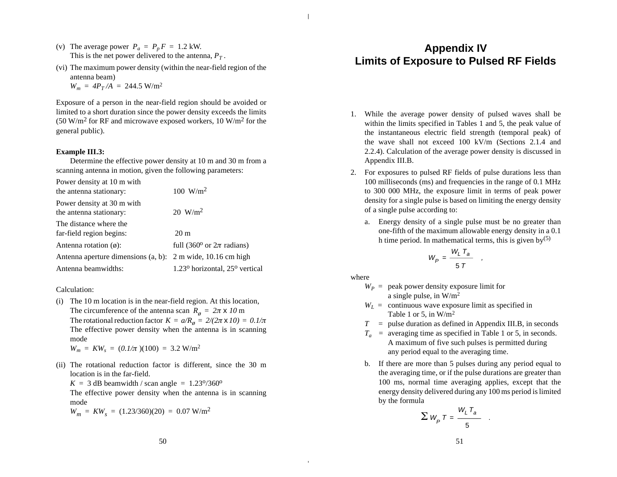- (v) The average power  $P_a = P_p F = 1.2$  kW. This is the net power delivered to the antenna,  $P_T$ .
- (vi) The maximum power density (within the near-field region of the antenna beam)  $W_m = 4P_T/A = 244.5$  W/m<sup>2</sup>

Exposure of a person in the near-field region should be avoided or

limited to a short duration since the power density exceeds the limits (50 W/m<sup>2</sup> for RF and microwave exposed workers, 10 W/m<sup>2</sup> for the general public).

### **Example III.3:**

Determine the effective power density at 10 m and 30 m from a scanning antenna in motion, given the following parameters:

Power density at 10 m with

| the antenna stationary:                                     | $100 \text{ W/m}^2$                     |
|-------------------------------------------------------------|-----------------------------------------|
| Power density at 30 m with<br>the antenna stationary:       | $20 W/m^2$                              |
| The distance where the                                      |                                         |
| far-field region begins:                                    | $20 \text{ m}$                          |
| Antenna rotation $(\emptyset)$ :                            | full (360 $^{\circ}$ or $2\pi$ radians) |
| Antenna aperture dimensions (a, b): 2 m wide, 10.16 cm high |                                         |
| Antenna beamwidths:                                         | $1.23o$ horizontal, $25o$ vertical      |

### Calculation:

(i) The 10 m location is in the near-field region. At this location, The circumference of the antenna scan  $R_\phi = 2\pi \times 10$  m The rotational reduction factor  $K = a/R$ <sup> $\phi$ </sup> = 2/(2 $\pi$  x 10) = 0.1/ $\pi$ The effective power density when the antenna is in scanning mode

 $W_m = KW_s = (0.1/\pi) (100) = 3.2 W/m^2$ 

(ii) The rotational reduction factor is different, since the 30 m location is in the far-field.

 $K = 3$  dB beamwidth / scan angle =  $1.23^{\circ}/360^{\circ}$ 

The effective power density when the antenna is in scanning mode

$$
W_m = KW_s = (1.23/360)(20) = 0.07 \text{ W/m}^2
$$

# **Appendix IV Limits of Exposure to Pulsed RF Fields**

- 1. While the average power density of pulsed waves shall be within the limits specified in Tables 1 and 5, the peak value of the instantaneous electric field strength (temporal peak) of the wave shall not exceed 100 kV/m (Sections 2.1.4 and 2.2.4). Calculation of the average power density is discussed in Appendix III.B.
- 2. For exposures to pulsed RF fields of pulse durations less than 100 milliseconds (ms) and frequencies in the range of 0.1 MHz to 300 000 MHz, the exposure limit in terms of peak power density for a single pulse is based on limiting the energy density of a single pulse according to:
	- a. Energy density of a single pulse must be no greater than one-fifth of the maximum allowable energy density in a 0.1 h time period. In mathematical terms, this is given by  $(5)$

$$
W_P = \frac{W_L T_a}{5 T} ,
$$

where

- $W_P$  = peak power density exposure limit for a single pulse, in  $W/m^2$
- $W_L$  = continuous wave exposure limit as specified in Table 1 or 5, in  $W/m^2$
- *T* = pulse duration as defined in Appendix III.B, in seconds
- $T_a$  = averaging time as specified in Table 1 or 5, in seconds. A maximum of five such pulses is permitted during any period equal to the averaging time.
- b. If there are more than 5 pulses during any period equal to the averaging time, or if the pulse durations are greater than 100 ms, normal time averaging applies, except that the energy density delivered during any 100 ms period is limited by the formula  $\overline{\mathbf{r}}$

$$
\sum W_p T = \frac{W_L T_a}{5} .
$$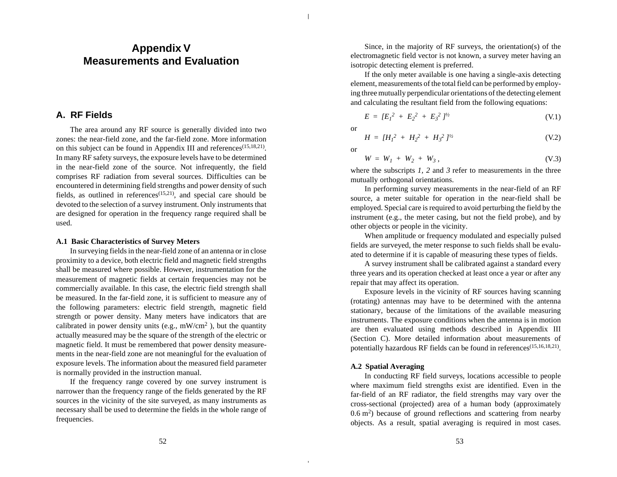# **Appendix V Measurements and Evaluation**

### **A. RF Fields**

The area around any RF source is generally divided into two zones: the near-field zone, and the far-field zone. More information on this subject can be found in Appendix III and references<sup>(15,18,21)</sup>. In many RF safety surveys, the exposure levels have to be determined in the near-field zone of the source. Not infrequently, the field comprises RF radiation from several sources. Difficulties can be encountered in determining field strengths and power density of such fields, as outlined in references<sup> $(15,21)$ </sup>, and special care should be devoted to the selection of a survey instrument. Only instruments that are designed for operation in the frequency range required shall be used.

### **A.1 Basic Characteristics of Survey Meters**

In surveying fields in the near-field zone of an antenna or in close proximity to a device, both electric field and magnetic field strengths shall be measured where possible. However, instrumentation for the measurement of magnetic fields at certain frequencies may not be commercially available. In this case, the electric field strength shall be measured. In the far-field zone, it is sufficient to measure any of the following parameters: electric field strength, magnetic field strength or power density. Many meters have indicators that are calibrated in power density units (e.g.,  $mW/cm^2$ ), but the quantity actually measured may be the square of the strength of the electric or magnetic field. It must be remembered that power density measurements in the near-field zone are not meaningful for the evaluation of exposure levels. The information about the measured field parameter is normally provided in the instruction manual.

If the frequency range covered by one survey instrument is narrower than the frequency range of the fields generated by the RF sources in the vicinity of the site surveyed, as many instruments as necessary shall be used to determine the fields in the whole range of frequencies.

Since, in the majority of RF surveys, the orientation(s) of the electromagnetic field vector is not known, a survey meter having an isotropic detecting element is preferred.

If the only meter available is one having a single-axis detecting element, measurements of the total field can be performed by employing three mutually perpendicular orientations of the detecting element and calculating the resultant field from the following equations:

$$
E = [E_1^2 + E_2^2 + E_3^2]^{1/2}
$$
 (V.1)

or

$$
H = [H_1^2 + H_2^2 + H_3^2]^{1/2}
$$
 (V.2)

or

 $W = W_1 + W_2 + W_3,$  (V.3)

where the subscripts *1*, 2 and 3 refer to measurements in the three mutually orthogonal orientations.

In performing survey measurements in the near-field of an RF source, a meter suitable for operation in the near-field shall be employed. Special care is required to avoid perturbing the field by the instrument (e.g., the meter casing, but not the field probe), and by other objects or people in the vicinity.

When amplitude or frequency modulated and especially pulsed fields are surveyed, the meter response to such fields shall be evaluated to determine if it is capable of measuring these types of fields.

A survey instrument shall be calibrated against a standard every three years and its operation checked at least once a year or after any repair that may affect its operation.

Exposure levels in the vicinity of RF sources having scanning (rotating) antennas may have to be determined with the antenna stationary, because of the limitations of the available measuring instruments. The exposure conditions when the antenna is in motion are then evaluated using methods described in Appendix III (Section C). More detailed information about measurements of potentially hazardous RF fields can be found in references<sup>(15,16,18,21)</sup>.

### **A.2 Spatial Averaging**

In conducting RF field surveys, locations accessible to people where maximum field strengths exist are identified. Even in the far-field of an RF radiator, the field strengths may vary over the cross-sectional (projected) area of a human body (approximately 0.6 m<sup>2</sup> ) because of ground reflections and scattering from nearby objects. As a result, spatial averaging is required in most cases.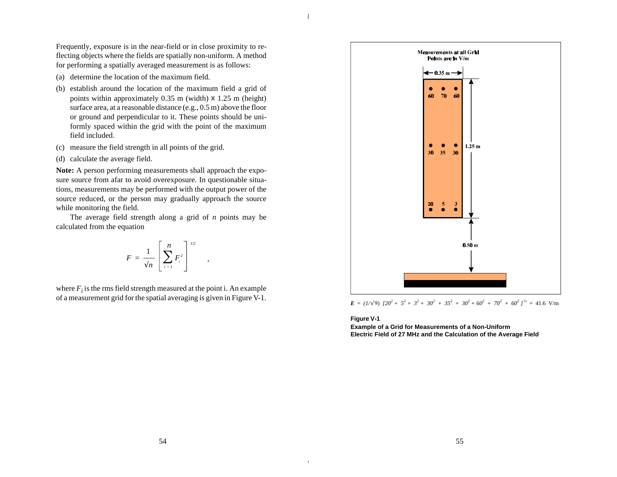Frequently, exposure is in the near-field or in close proximity to reflecting objects where the fields are spatially non-uniform. A method for performing a spatially averaged measurement is as follows:

- (a) determine the location of the maximum field.
- (b) establish around the location of the maximum field a grid of points within approximately 0.35 m (width) x 1.25 m (height) surface area, at a reasonable distance (e.g., 0.5 m) above the floor or ground and perpendicular to it. These points should be uniformly spaced within the grid with the point of the maximum field included.
- (c) measure the field strength in all points of the grid.
- (d) calculate the average field.

**Note:** A person performing measurements shall approach the exposure source from afar to avoid overexposure. In questionable situations, measurements may be performed with the output power of the source reduced, or the person may gradually approach the source while monitoring the field.

The average field strength along a grid of *n* points may be calculated from the equation

$$
F = \frac{1}{\sqrt{n}} \left[ \sum_{i=1}^{n} F_i^2 \right]^{1/2}
$$

,

where  $F_i$  is the rms field strength measured at the point i. An example of a measurement grid for the spatial averaging is given in Figure V-1.



 $\mathbf{E} = (1/\sqrt{9}) \left[ 20^2 + 5^2 + 3^2 + 30^2 + 35^2 + 30^2 + 60^2 + 70^2 + 60^2 \right]^{1/2} = 41.6 \text{ V/m}$ 

**Figure V-1**

**Example of a Grid for Measurements of a Non-Uniform Electric Field of 27 MHz and the Calculation of the Average Field**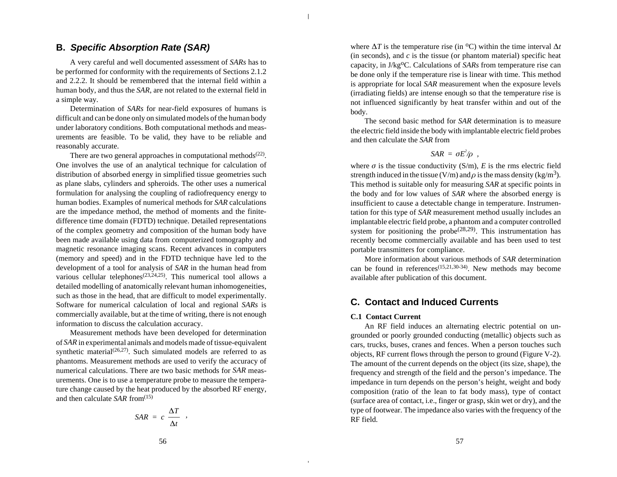### **B. Specific Absorption Rate (SAR)**

A very careful and well documented assessment of *SARs* has to be performed for conformity with the requirements of Sections 2.1.2 and 2.2.2. It should be remembered that the internal field within a human body, and thus the *SAR*, are not related to the external field in a simple way.

Determination of *SARs* for near-field exposures of humans is difficult and can be done only on simulated models of the human body under laboratory conditions. Both computational methods and measurements are feasible. To be valid, they have to be reliable and reasonably accurate.

There are two general approaches in computational methods $(22)$ . One involves the use of an analytical technique for calculation of distribution of absorbed energy in simplified tissue geometries such as plane slabs, cylinders and spheroids. The other uses a numerical formulation for analysing the coupling of radiofrequency energy to human bodies. Examples of numerical methods for *SAR* calculations are the impedance method, the method of moments and the finitedifference time domain (FDTD) technique. Detailed representations of the complex geometry and composition of the human body have been made available using data from computerized tomography and magnetic resonance imaging scans. Recent advances in computers (memory and speed) and in the FDTD technique have led to the development of a tool for analysis of *SAR* in the human head from various cellular telephones<sup> $(23,24,25)$ </sup>. This numerical tool allows a detailed modelling of anatomically relevant human inhomogeneities, such as those in the head, that are difficult to model experimentally. Software for numerical calculation of local and regional *SARs* is commercially available, but at the time of writing, there is not enough information to discuss the calculation accuracy.

Measurement methods have been developed for determination of *SAR* in experimental animals and models made of tissue-equivalent synthetic material<sup> $(26,27)$ </sup>. Such simulated models are referred to as phantoms. Measurement methods are used to verify the accuracy of numerical calculations. There are two basic methods for *SAR* measurements. One is to use a temperature probe to measure the temperature change caused by the heat produced by the absorbed RF energy, and then calculate *SAR* from<sup>(15)</sup>

$$
SAR = c \frac{\Delta T}{\Delta t} ,
$$

where  $\Delta T$  is the temperature rise (in <sup>o</sup>C) within the time interval  $\Delta t$ (in seconds), and  $c$  is the tissue (or phantom material) specific heat capacity, in J/kg<sup>o</sup>C. Calculations of *SARs* from temperature rise can be done only if the temperature rise is linear with time. This method is appropriate for local *SAR* measurement when the exposure levels (irradiating fields) are intense enough so that the temperature rise is not influenced significantly by heat transfer within and out of the body.

The second basic method for *SAR* determination is to measure the electric field inside the body with implantable electric field probes and then calculate the *SAR* from

$$
SAR = \sigma E^2/\rho ,
$$

where  $\sigma$  is the tissue conductivity (S/m), *E* is the rms electric field strength induced in the tissue (V/m) and  $\rho$  is the mass density (kg/m<sup>3</sup>). This method is suitable only for measuring *SAR* at specific points in the body and for low values of *SAR* where the absorbed energy is insufficient to cause a detectable change in temperature. Instrumentation for this type of *SAR* measurement method usually includes an implantable electric field probe, a phantom and a computer controlled system for positioning the probe<sup> $(28,29)$ </sup>. This instrumentation has recently become commercially available and has been used to test portable transmitters for compliance.

More information about various methods of *SAR* determination can be found in references(15,21,30-34). New methods may become available after publication of this document.

## **C. Contact and Induced Currents**

### **C.1 Contact Current**

An RF field induces an alternating electric potential on ungrounded or poorly grounded conducting (metallic) objects such as cars, trucks, buses, cranes and fences. When a person touches such objects, RF current flows through the person to ground (Figure V-2). The amount of the current depends on the object (its size, shape), the frequency and strength of the field and the person's impedance. The impedance in turn depends on the person's height, weight and body composition (ratio of the lean to fat body mass), type of contact (surface area of contact, i.e., finger or grasp, skin wet or dry), and the type of footwear. The impedance also varies with the frequency of the RF field.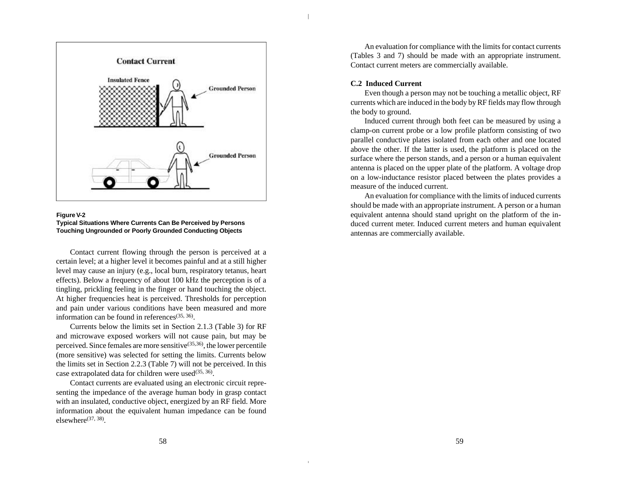



Contact current flowing through the person is perceived at a certain level; at a higher level it becomes painful and at a still higher level may cause an injury (e.g., local burn, respiratory tetanus, heart effects). Below a frequency of about 100 kHz the perception is of a tingling, prickling feeling in the finger or hand touching the object. At higher frequencies heat is perceived. Thresholds for perception and pain under various conditions have been measured and more information can be found in references $(35, 36)$ .

Currents below the limits set in Section 2.1.3 (Table 3) for RF and microwave exposed workers will not cause pain, but may be perceived. Since females are more sensitive<sup> $(35,36)$ </sup>, the lower percentile (more sensitive) was selected for setting the limits. Currents below the limits set in Section 2.2.3 (Table 7) will not be perceived. In this case extrapolated data for children were used<sup>(35, 36)</sup>.

Contact currents are evaluated using an electronic circuit representing the impedance of the average human body in grasp contact with an insulated, conductive object, energized by an RF field. More information about the equivalent human impedance can be found  $elsewhere^{(37, 38)}$ .

An evaluation for compliance with the limits for contact currents (Tables 3 and 7) should be made with an appropriate instrument. Contact current meters are commercially available.

### **C.2 Induced Current**

Even though a person may not be touching a metallic object, RF currents which are induced in the body by RF fields may flow through the body to ground.

Induced current through both feet can be measured by using a clamp-on current probe or a low profile platform consisting of two parallel conductive plates isolated from each other and one located above the other. If the latter is used, the platform is placed on the surface where the person stands, and a person or a human equivalent antenna is placed on the upper plate of the platform. A voltage drop on a low-inductance resistor placed between the plates provides a measure of the induced current.

An evaluation for compliance with the limits of induced currents should be made with an appropriate instrument. A person or a human equivalent antenna should stand upright on the platform of the induced current meter. Induced current meters and human equivalent antennas are commercially available.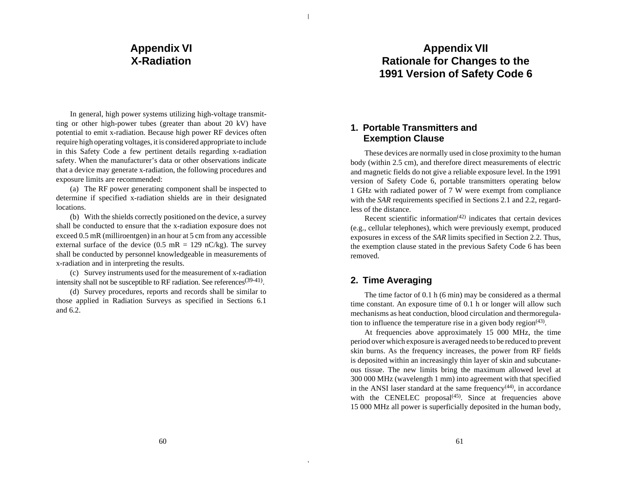# **Appendix VI X-Radiation**

In general, high power systems utilizing high-voltage transmitting or other high-power tubes (greater than about 20 kV) have potential to emit x-radiation. Because high power RF devices often require high operating voltages, it is considered appropriate to include in this Safety Code a few pertinent details regarding x-radiation safety. When the manufacturer's data or other observations indicate that a device may generate x-radiation, the following procedures and exposure limits are recommended:

(a) The RF power generating component shall be inspected to determine if specified x-radiation shields are in their designated locations.

(b) With the shields correctly positioned on the device, a survey shall be conducted to ensure that the x-radiation exposure does not exceed 0.5 mR (milliroentgen) in an hour at 5 cm from any accessible external surface of the device  $(0.5 \text{ mR} = 129 \text{ nC/kg})$ . The survey shall be conducted by personnel knowledgeable in measurements of x-radiation and in interpreting the results.

(c) Survey instruments used for the measurement of x-radiation intensity shall not be susceptible to RF radiation. See references<sup>(39-41)</sup>.

(d) Survey procedures, reports and records shall be similar to those applied in Radiation Surveys as specified in Sections 6.1 and 6.2.

# **Appendix VII Rationale for Changes to the 1991 Version of Safety Code 6**

# **1. Portable Transmitters and Exemption Clause**

These devices are normally used in close proximity to the human body (within 2.5 cm), and therefore direct measurements of electric and magnetic fields do not give a reliable exposure level. In the 1991 version of Safety Code 6, portable transmitters operating below 1 GHz with radiated power of 7 W were exempt from compliance with the *SAR* requirements specified in Sections 2.1 and 2.2, regardless of the distance.

Recent scientific information<sup> $(42)$ </sup> indicates that certain devices (e.g., cellular telephones), which were previously exempt, produced exposures in excess of the *SAR* limits specified in Section 2.2. Thus, the exemption clause stated in the previous Safety Code 6 has been removed.

# **2. Time Averaging**

The time factor of 0.1 h (6 min) may be considered as a thermal time constant. An exposure time of 0.1 h or longer will allow such mechanisms as heat conduction, blood circulation and thermoregulation to influence the temperature rise in a given body region $(43)$ .

At frequencies above approximately 15 000 MHz, the time period over which exposure is averaged needs to be reduced to prevent skin burns. As the frequency increases, the power from RF fields is deposited within an increasingly thin layer of skin and subcutaneous tissue. The new limits bring the maximum allowed level at 300 000 MHz (wavelength 1 mm) into agreement with that specified in the ANSI laser standard at the same frequency $(44)$ , in accordance with the CENELEC proposal $(45)$ . Since at frequencies above 15 000 MHz all power is superficially deposited in the human body,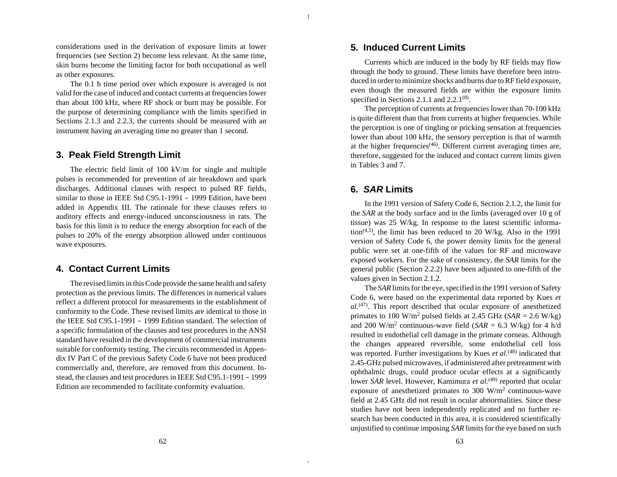considerations used in the derivation of exposure limits at lower frequencies (see Section 2) become less relevant. At the same time, skin burns become the limiting factor for both occupational as well as other exposures.

The 0.1 h time period over which exposure is averaged is not valid for the case of induced and contact currents at frequencies lower than about 100 kHz, where RF shock or burn may be possible. For the purpose of determining compliance with the limits specified in Sections 2.1.3 and 2.2.3, the currents should be measured with an instrument having an averaging time no greater than 1 second.

### **3. Peak Field Strength Limit**

The electric field limit of 100 kV/m for single and multiple pulses is recommended for prevention of air breakdown and spark discharges. Additional clauses with respect to pulsed RF fields, similar to those in IEEE Std C95.1-1991 – 1999 Edition, have been added in Appendix III. The rationale for these clauses refers to auditory effects and energy-induced unconsciousness in rats. The basis for this limit is to reduce the energy absorption for each of the pulses to 20% of the energy absorption allowed under continuous wave exposures.

## **4. Contact Current Limits**

The revised limits in this Code provide the same health and safety protection as the previous limits. The differences in numerical values reflect a different protocol for measurements in the establishment of conformity to the Code. These revised limits are identical to those in the IEEE Std C95.1-1991 – 1999 Edition standard. The selection of a specific formulation of the clauses and test procedures in the ANSI standard have resulted in the development of commercial instruments suitable for conformity testing. The circuits recommended in Appendix IV Part C of the previous Safety Code 6 have not been produced commercially and, therefore, are removed from this document. Instead, the clauses and test procedures in IEEE Std C95.1-1991 – 1999 Edition are recommended to facilitate conformity evaluation.

# **5. Induced Current Limits**

Currents which are induced in the body by RF fields may flow through the body to ground. These limits have therefore been introduced in order to minimize shocks and burns due to RF field exposure, even though the measured fields are within the exposure limits specified in Sections 2.1.1 and  $2.2.1^{(8)}$ .

The perception of currents at frequencies lower than 70-100 kHz is quite different than that from currents at higher frequencies. While the perception is one of tingling or pricking sensation at frequencies lower than about 100 kHz, the sensory perception is that of warmth at the higher frequencies(46). Different current averaging times are, therefore, suggested for the induced and contact current limits given in Tables 3 and 7.

# **6. SAR Limits**

In the 1991 version of Safety Code 6, Section 2.1.2, the limit for the *SAR* at the body surface and in the limbs (averaged over 10 g of tissue) was 25 W/kg. In response to the latest scientific information<sup>(4,5)</sup>, the limit has been reduced to 20 W/kg. Also in the 1991 version of Safety Code 6, the power density limits for the general public were set at one-fifth of the values for RF and microwave exposed workers. For the sake of consistency, the *SAR* limits for the general public (Section 2.2.2) have been adjusted to one-fifth of the values given in Section 2.1.2.

The *SAR* limits for the eye, specified in the 1991 version of Safety Code 6, were based on the experimental data reported by Kues *et al*. (47). This report described that ocular exposure of anesthetized primates to 100 W/m<sup>2</sup> pulsed fields at 2.45 GHz ( $SAR = 2.6$  W/kg) and 200 W/m<sup>2</sup> continuous-wave field  $(SAR = 6.3 \text{ W/kg})$  for 4 h/d resulted in endothelial cell damage in the primate corneas. Although the changes appeared reversible, some endothelial cell loss was reported. Further investigations by Kues *et al*.<sup>(48)</sup> indicated that 2.45-GHz pulsed microwaves, if administered after pretreatment with ophthalmic drugs, could produce ocular effects at a significantly lower *SAR* level. However, Kamimura *et al*.<sup>(49)</sup> reported that ocular exposure of anesthetized primates to 300  $W/m^2$  continuous-wave field at 2.45 GHz did not result in ocular abnormalities. Since these studies have not been independently replicated and no further research has been conducted in this area, it is considered scientifically unjustified to continue imposing *SAR* limits for the eye based on such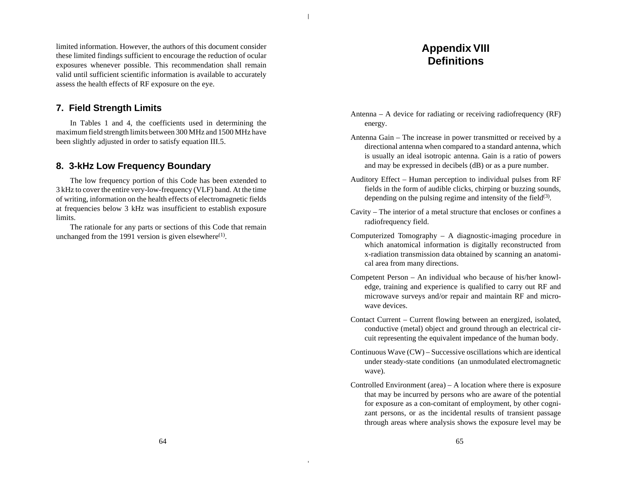limited information. However, the authors of this document consider these limited findings sufficient to encourage the reduction of ocular exposures whenever possible. This recommendation shall remain valid until sufficient scientific information is available to accurately assess the health effects of RF exposure on the eye.

### **7. Field Strength Limits**

In Tables 1 and 4, the coefficients used in determining the maximum field strength limits between 300 MHz and 1500 MHz have been slightly adjusted in order to satisfy equation III.5.

# **8. 3-kHz Low Frequency Boundary**

The low frequency portion of this Code has been extended to 3 kHz to cover the entire very-low-frequency (VLF) band. At the time of writing, information on the health effects of electromagnetic fields at frequencies below 3 kHz was insufficient to establish exposure limits.

The rationale for any parts or sections of this Code that remain unchanged from the 1991 version is given elsewhere<sup>(1)</sup>.

# **Appendix VIII Definitions**

- Antenna A device for radiating or receiving radiofrequency (RF) energy.
- Antenna Gain The increase in power transmitted or received by a directional antenna when compared to a standard antenna, which is usually an ideal isotropic antenna. Gain is a ratio of powers and may be expressed in decibels (dB) or as a pure number.
- Auditory Effect Human perception to individual pulses from RF fields in the form of audible clicks, chirping or buzzing sounds, depending on the pulsing regime and intensity of the field $(3)$ .
- Cavity The interior of a metal structure that encloses or confines a radiofrequency field.
- Computerized Tomography A diagnostic-imaging procedure in which anatomical information is digitally reconstructed from x-radiation transmission data obtained by scanning an anatomical area from many directions.
- Competent Person An individual who because of his/her knowledge, training and experience is qualified to carry out RF and microwave surveys and/or repair and maintain RF and microwave devices.
- Contact Current Current flowing between an energized, isolated, conductive (metal) object and ground through an electrical circuit representing the equivalent impedance of the human body.
- Continuous Wave (CW) Successive oscillations which are identical under steady-state conditions (an unmodulated electromagnetic wave).
- Controlled Environment (area) A location where there is exposure that may be incurred by persons who are aware of the potential for exposure as a con-comitant of employment, by other cognizant persons, or as the incidental results of transient passage through areas where analysis shows the exposure level may be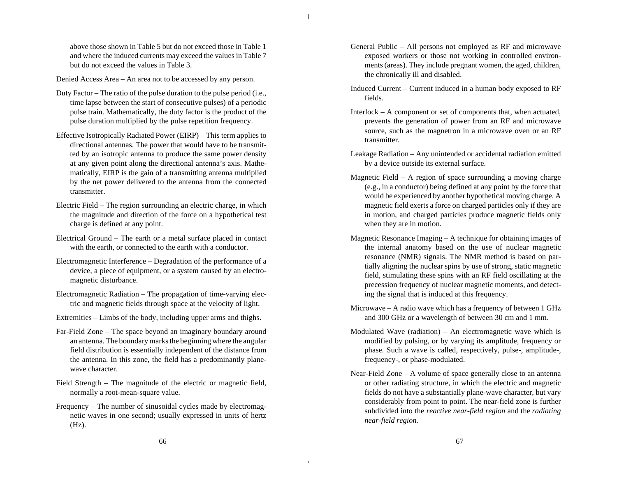above those shown in Table 5 but do not exceed those in Table 1 and where the induced currents may exceed the values in Table 7 but do not exceed the values in Table 3.

Denied Access Area – An area not to be accessed by any person.

- Duty Factor The ratio of the pulse duration to the pulse period (i.e., time lapse between the start of consecutive pulses) of a periodic pulse train. Mathematically, the duty factor is the product of the pulse duration multiplied by the pulse repetition frequency.
- Effective Isotropically Radiated Power (EIRP) This term applies to directional antennas. The power that would have to be transmitted by an isotropic antenna to produce the same power density at any given point along the directional antenna's axis. Mathematically, EIRP is the gain of a transmitting antenna multiplied by the net power delivered to the antenna from the connected transmitter.
- Electric Field The region surrounding an electric charge, in which the magnitude and direction of the force on a hypothetical test charge is defined at any point.
- Electrical Ground The earth or a metal surface placed in contact with the earth, or connected to the earth with a conductor.
- Electromagnetic Interference Degradation of the performance of a device, a piece of equipment, or a system caused by an electromagnetic disturbance.
- Electromagnetic Radiation The propagation of time-varying electric and magnetic fields through space at the velocity of light.
- Extremities Limbs of the body, including upper arms and thighs.
- Far-Field Zone The space beyond an imaginary boundary around an antenna. The boundary marks the beginning where the angular field distribution is essentially independent of the distance from the antenna. In this zone, the field has a predominantly planewave character.
- Field Strength The magnitude of the electric or magnetic field, normally a root-mean-square value.
- Frequency The number of sinusoidal cycles made by electromagnetic waves in one second; usually expressed in units of hertz  $(Hz)$ .
- General Public All persons not employed as RF and microwave exposed workers or those not working in controlled environments (areas). They include pregnant women, the aged, children, the chronically ill and disabled.
- Induced Current Current induced in a human body exposed to RF fields.
- Interlock A component or set of components that, when actuated, prevents the generation of power from an RF and microwave source, such as the magnetron in a microwave oven or an RF transmitter.
- Leakage Radiation Any unintended or accidental radiation emitted by a device outside its external surface.
- Magnetic Field A region of space surrounding a moving charge (e.g., in a conductor) being defined at any point by the force that would be experienced by another hypothetical moving charge. A magnetic field exerts a force on charged particles only if they are in motion, and charged particles produce magnetic fields only when they are in motion.
- Magnetic Resonance Imaging A technique for obtaining images of the internal anatomy based on the use of nuclear magnetic resonance (NMR) signals. The NMR method is based on partially aligning the nuclear spins by use of strong, static magnetic field, stimulating these spins with an RF field oscillating at the precession frequency of nuclear magnetic moments, and detecting the signal that is induced at this frequency.
- Microwave A radio wave which has a frequency of between 1 GHz and 300 GHz or a wavelength of between 30 cm and 1 mm.
- Modulated Wave (radiation) An electromagnetic wave which is modified by pulsing, or by varying its amplitude, frequency or phase. Such a wave is called, respectively, pulse-, amplitude-, frequency-, or phase-modulated.
- Near-Field Zone A volume of space generally close to an antenna or other radiating structure, in which the electric and magnetic fields do not have a substantially plane-wave character, but vary considerably from point to point. The near-field zone is further subdivided into the *reactive near-field region* and the *radiating near-field region.*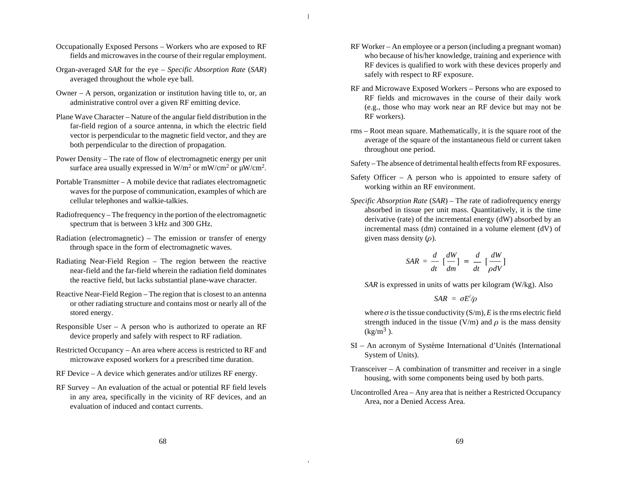- Occupationally Exposed Persons Workers who are exposed to RF fields and microwaves in the course of their regular employment.
- Organ-averaged *SAR* for the eye *Specific Absorption Rate* (*SAR*) averaged throughout the whole eye ball.
- Owner A person, organization or institution having title to, or, an administrative control over a given RF emitting device.
- Plane Wave Character Nature of the angular field distribution in the far-field region of a source antenna, in which the electric field vector is perpendicular to the magnetic field vector, and they are both perpendicular to the direction of propagation.
- Power Density The rate of flow of electromagnetic energy per unit surface area usually expressed in W/m<sup>2</sup> or mW/cm<sup>2</sup> or  $\mu$ W/cm<sup>2</sup>.
- Portable Transmitter A mobile device that radiates electromagnetic waves for the purpose of communication, examples of which are cellular telephones and walkie-talkies.
- Radiofrequency The frequency in the portion of the electromagnetic spectrum that is between 3 kHz and 300 GHz.
- Radiation (electromagnetic) The emission or transfer of energy through space in the form of electromagnetic waves.
- Radiating Near-Field Region The region between the reactive near-field and the far-field wherein the radiation field dominates the reactive field, but lacks substantial plane-wave character.
- Reactive Near-Field Region The region that is closest to an antenna or other radiating structure and contains most or nearly all of the stored energy.
- Responsible User A person who is authorized to operate an RF device properly and safely with respect to RF radiation.
- Restricted Occupancy An area where access is restricted to RF and microwave exposed workers for a prescribed time duration.
- RF Device A device which generates and/or utilizes RF energy.
- RF Survey An evaluation of the actual or potential RF field levels in any area, specifically in the vicinity of RF devices, and an evaluation of induced and contact currents.
- RF Worker An employee or a person (including a pregnant woman) who because of his/her knowledge, training and experience with RF devices is qualified to work with these devices properly and safely with respect to RF exposure.
- RF and Microwave Exposed Workers Persons who are exposed to RF fields and microwaves in the course of their daily work (e.g., those who may work near an RF device but may not be RF workers).
- rms Root mean square. Mathematically, it is the square root of the average of the square of the instantaneous field or current taken throughout one period.
- Safety The absence of detrimental health effects from RF exposures.
- Safety Officer A person who is appointed to ensure safety of working within an RF environment.
- *Specific Absorption Rate* (*SAR*) The rate of radiofrequency energy absorbed in tissue per unit mass. Quantitatively, it is the time derivative (rate) of the incremental energy (dW) absorbed by an incremental mass (dm) contained in a volume element (dV) of given mass density  $(\rho)$ .

$$
SAR = \frac{d}{dt} \left[ \frac{dW}{dm} \right] = \frac{d}{dt} \left[ \frac{dW}{\rho dV} \right]
$$

*SAR* is expressed in units of watts per kilogram (W/kg). Also

$$
SAR = \sigma E^2/\rho
$$

where  $\sigma$  is the tissue conductivity (S/m), *E* is the rms electric field strength induced in the tissue (V/m) and  $\rho$  is the mass density  $\text{(kg/m}^3)$ .

- SI An acronym of Système International d'Unités (International System of Units).
- Transceiver A combination of transmitter and receiver in a single housing, with some components being used by both parts.
- Uncontrolled Area Any area that is neither a Restricted Occupancy Area, nor a Denied Access Area.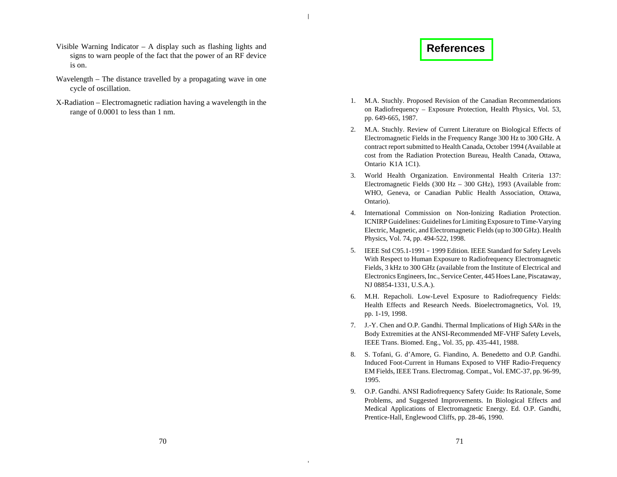- <span id="page-37-0"></span>Visible Warning Indicator – A display such as flashing lights and signs to warn people of the fact that the power of an RF device is on.
- Wavelength The distance travelled by a propagating wave in one cycle of oscillation.
- X-Radiation Electromagnetic radiation having a wavelength in the range of 0.0001 to less than 1 nm.

# **[References](#page-4-0)**

- 1. M.A. Stuchly. Proposed Revision of the Canadian Recommendations on Radiofrequency – Exposure Protection, Health Physics, Vol. 53, pp. 649-665, 1987.
- 2. M.A. Stuchly. Review of Current Literature on Biological Effects of Electromagnetic Fields in the Frequency Range 300 Hz to 300 GHz. A contract report submitted to Health Canada, October 1994 (Available at cost from the Radiation Protection Bureau, Health Canada, Ottawa, Ontario K1A 1C1).
- 3. World Health Organization. Environmental Health Criteria 137: Electromagnetic Fields (300 Hz – 300 GHz), 1993 (Available from: WHO, Geneva, or Canadian Public Health Association, Ottawa, Ontario).
- 4. International Commission on Non-Ionizing Radiation Protection. ICNIRP Guidelines: Guidelines for Limiting Exposure to Time-Varying Electric, Magnetic, and Electromagnetic Fields (up to 300 GHz). Health Physics, Vol. 74, pp. 494-522, 1998.
- 5. IEEE Std C95.1-1991 1999 Edition. IEEE Standard for Safety Levels With Respect to Human Exposure to Radiofrequency Electromagnetic Fields, 3 kHz to 300 GHz (available from the Institute of Electrical and Electronics Engineers, Inc., Service Center, 445 Hoes Lane, Piscataway, NJ 08854-1331, U.S.A.).
- 6. M.H. Repacholi. Low-Level Exposure to Radiofrequency Fields: Health Effects and Research Needs. Bioelectromagnetics, Vol. 19, pp. 1-19, 1998.
- 7. J.-Y. Chen and O.P. Gandhi. Thermal Implications of High *SARs* in the Body Extremities at the ANSI-Recommended MF-VHF Safety Levels, IEEE Trans. Biomed. Eng., Vol. 35, pp. 435-441, 1988.
- 8. S. Tofani, G. d'Amore, G. Fiandino, A. Benedetto and O.P. Gandhi. Induced Foot-Current in Humans Exposed to VHF Radio-Frequency EM Fields, IEEE Trans. Electromag. Compat., Vol. EMC-37, pp. 96-99, 1995.
- 9. O.P. Gandhi. ANSI Radiofrequency Safety Guide: Its Rationale, Some Problems, and Suggested Improvements. In Biological Effects and Medical Applications of Electromagnetic Energy. Ed. O.P. Gandhi, Prentice-Hall, Englewood Cliffs, pp. 28-46, 1990.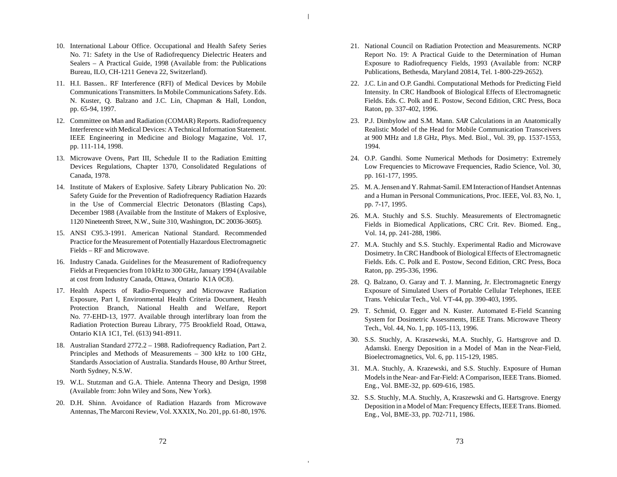- 10. International Labour Office. Occupational and Health Safety Series No. 71: Safety in the Use of Radiofrequency Dielectric Heaters and Sealers – A Practical Guide, 1998 (Available from: the Publications Bureau, ILO, CH-1211 Geneva 22, Switzerland).
- 11. H.I. Bassen.. RF Interference (RFI) of Medical Devices by Mobile Communications Transmitters. In Mobile Communications Safety. Eds. N. Kuster, Q. Balzano and J.C. Lin, Chapman & Hall, London, pp. 65-94, 1997.
- 12. Committee on Man and Radiation (COMAR) Reports. Radiofrequency Interference with Medical Devices: A Technical Information Statement. IEEE Engineering in Medicine and Biology Magazine, Vol. 17, pp. 111-114, 1998.
- 13. Microwave Ovens, Part III, Schedule II to the Radiation Emitting Devices Regulations, Chapter 1370, Consolidated Regulations of Canada, 1978.
- 14. Institute of Makers of Explosive. Safety Library Publication No. 20: Safety Guide for the Prevention of Radiofrequency Radiation Hazards in the Use of Commercial Electric Detonators (Blasting Caps), December 1988 (Available from the Institute of Makers of Explosive, 1120 Nineteenth Street, N.W., Suite 310, Washington, DC 20036-3605).
- 15. ANSI C95.3-1991. American National Standard. Recommended Practice for the Measurement of Potentially Hazardous Electromagnetic Fields – RF and Microwave.
- 16. Industry Canada. Guidelines for the Measurement of Radiofrequency Fields at Frequencies from 10 kHz to 300 GHz, January 1994 (Available at cost from Industry Canada, Ottawa, Ontario K1A 0C8).
- 17. Health Aspects of Radio-Frequency and Microwave Radiation Exposure, Part I, Environmental Health Criteria Document, Health Protection Branch, National Health and Welfare, Report No. 77-EHD-13, 1977. Available through interlibrary loan from the Radiation Protection Bureau Library, 775 Brookfield Road, Ottawa, Ontario K1A 1C1, Tel. (613) 941-8911.
- 18. Australian Standard 2772.2 1988. Radiofrequency Radiation, Part 2. Principles and Methods of Measurements – 300 kHz to 100 GHz, Standards Association of Australia. Standards House, 80 Arthur Street, North Sydney, N.S.W.
- 19. W.L. Stutzman and G.A. Thiele. Antenna Theory and Design, 1998 (Available from: John Wiley and Sons, New York).
- 20. D.H. Shinn. Avoidance of Radiation Hazards from Microwave Antennas, The Marconi Review, Vol. XXXIX, No. 201, pp. 61-80, 1976.
- 21. National Council on Radiation Protection and Measurements. NCRP Report No. 19: A Practical Guide to the Determination of Human Exposure to Radiofrequency Fields, 1993 (Available from: NCRP Publications, Bethesda, Maryland 20814, Tel. 1-800-229-2652).
- 22. J.C. Lin and O.P. Gandhi. Computational Methods for Predicting Field Intensity. In CRC Handbook of Biological Effects of Electromagnetic Fields. Eds. C. Polk and E. Postow, Second Edition, CRC Press, Boca Raton, pp. 337-402, 1996.
- 23. P.J. Dimbylow and S.M. Mann. *SAR* Calculations in an Anatomically Realistic Model of the Head for Mobile Communication Transceivers at 900 MHz and 1.8 GHz, Phys. Med. Biol., Vol. 39, pp. 1537-1553, 1994.
- 24. O.P. Gandhi. Some Numerical Methods for Dosimetry: Extremely Low Frequencies to Microwave Frequencies, Radio Science, Vol. 30, pp. 161-177, 1995.
- 25. M. A. Jensen and Y. Rahmat-Samil. EM Interaction of Handset Antennas and a Human in Personal Communications, Proc. IEEE, Vol. 83, No. 1, pp. 7-17, 1995.
- 26. M.A. Stuchly and S.S. Stuchly. Measurements of Electromagnetic Fields in Biomedical Applications, CRC Crit. Rev. Biomed. Eng., Vol. 14, pp. 241-288, 1986.
- 27. M.A. Stuchly and S.S. Stuchly. Experimental Radio and Microwave Dosimetry. In CRC Handbook of Biological Effects of Electromagnetic Fields. Eds. C. Polk and E. Postow, Second Edition, CRC Press, Boca Raton, pp. 295-336, 1996.
- 28. Q. Balzano, O. Garay and T. J. Manning, Jr. Electromagnetic Energy Exposure of Simulated Users of Portable Cellular Telephones, IEEE Trans. Vehicular Tech., Vol. VT-44, pp. 390-403, 1995.
- 29. T. Schmid, O. Egger and N. Kuster. Automated E-Field Scanning System for Dosimetric Assessments, IEEE Trans. Microwave Theory Tech., Vol. 44, No. 1, pp. 105-113, 1996.
- 30. S.S. Stuchly, A. Kraszewski, M.A. Stuchly, G. Hartsgrove and D. Adamski. Energy Deposition in a Model of Man in the Near-Field, Bioelectromagnetics, Vol. 6, pp. 115-129, 1985.
- 31. M.A. Stuchly, A. Krazewski, and S.S. Stuchly. Exposure of Human Models in the Near- and Far-Field: A Comparison, IEEE Trans. Biomed. Eng., Vol. BME-32, pp. 609-616, 1985.
- 32. S.S. Stuchly, M.A. Stuchly, A, Kraszewski and G. Hartsgrove. Energy Deposition in a Model of Man: Frequency Effects, IEEE Trans. Biomed. Eng., Vol, BME-33, pp. 702-711, 1986.